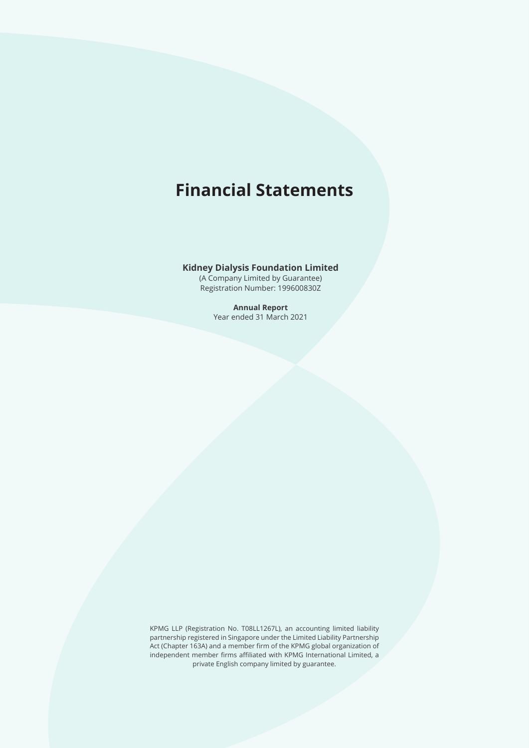# **Financial Statements**

## **Kidney Dialysis Foundation Limited**

(A Company Limited by Guarantee) Registration Number: 199600830Z

> **Annual Report** Year ended 31 March 2021

KPMG LLP (Registration No. T08LL1267L), an accounting limited liability partnership registered in Singapore under the Limited Liability Partnership Act (Chapter 163A) and a member firm of the KPMG global organization of independent member firms affiliated with KPMG International Limited, a private English company limited by guarantee.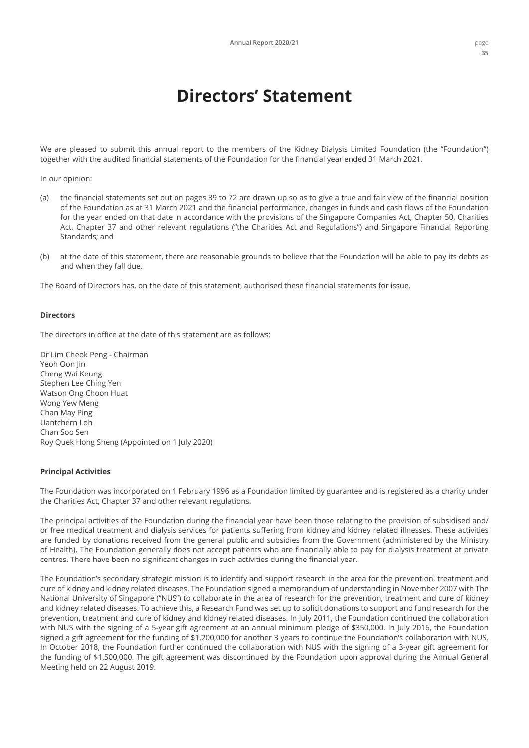## **Directors' Statement**

We are pleased to submit this annual report to the members of the Kidney Dialysis Limited Foundation (the "Foundation") together with the audited financial statements of the Foundation for the financial year ended 31 March 2021.

In our opinion:

- (a) the financial statements set out on pages 39 to 72 are drawn up so as to give a true and fair view of the financial position of the Foundation as at 31 March 2021 and the financial performance, changes in funds and cash flows of the Foundation for the year ended on that date in accordance with the provisions of the Singapore Companies Act, Chapter 50, Charities Act, Chapter 37 and other relevant regulations ("the Charities Act and Regulations") and Singapore Financial Reporting Standards; and
- (b) at the date of this statement, there are reasonable grounds to believe that the Foundation will be able to pay its debts as and when they fall due.

The Board of Directors has, on the date of this statement, authorised these financial statements for issue.

#### **Directors**

The directors in office at the date of this statement are as follows:

Dr Lim Cheok Peng - Chairman Yeoh Oon Jin Cheng Wai Keung Stephen Lee Ching Yen Watson Ong Choon Huat Wong Yew Meng Chan May Ping Uantchern Loh Chan Soo Sen Roy Quek Hong Sheng (Appointed on 1 July 2020)

#### **Principal Activities**

The Foundation was incorporated on 1 February 1996 as a Foundation limited by guarantee and is registered as a charity under the Charities Act, Chapter 37 and other relevant regulations.

The principal activities of the Foundation during the financial year have been those relating to the provision of subsidised and/ or free medical treatment and dialysis services for patients suffering from kidney and kidney related illnesses. These activities are funded by donations received from the general public and subsidies from the Government (administered by the Ministry of Health). The Foundation generally does not accept patients who are financially able to pay for dialysis treatment at private centres. There have been no significant changes in such activities during the financial year.

The Foundation's secondary strategic mission is to identify and support research in the area for the prevention, treatment and cure of kidney and kidney related diseases. The Foundation signed a memorandum of understanding in November 2007 with The National University of Singapore ("NUS") to collaborate in the area of research for the prevention, treatment and cure of kidney and kidney related diseases. To achieve this, a Research Fund was set up to solicit donations to support and fund research for the prevention, treatment and cure of kidney and kidney related diseases. In July 2011, the Foundation continued the collaboration with NUS with the signing of a 5-year gift agreement at an annual minimum pledge of \$350,000. In July 2016, the Foundation signed a gift agreement for the funding of \$1,200,000 for another 3 years to continue the Foundation's collaboration with NUS. In October 2018, the Foundation further continued the collaboration with NUS with the signing of a 3-year gift agreement for the funding of \$1,500,000. The gift agreement was discontinued by the Foundation upon approval during the Annual General Meeting held on 22 August 2019.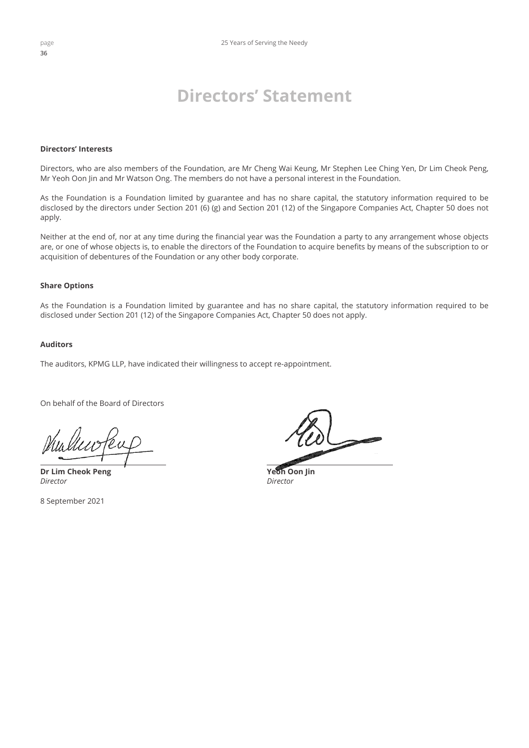## **Directors' Statement**

#### **Directors' Interests**

Directors, who are also members of the Foundation, are Mr Cheng Wai Keung, Mr Stephen Lee Ching Yen, Dr Lim Cheok Peng, Mr Yeoh Oon Jin and Mr Watson Ong. The members do not have a personal interest in the Foundation.

As the Foundation is a Foundation limited by guarantee and has no share capital, the statutory information required to be disclosed by the directors under Section 201 (6) (g) and Section 201 (12) of the Singapore Companies Act, Chapter 50 does not apply.

Neither at the end of, nor at any time during the financial year was the Foundation a party to any arrangement whose objects are, or one of whose objects is, to enable the directors of the Foundation to acquire benefits by means of the subscription to or acquisition of debentures of the Foundation or any other body corporate.

### **Share Options**

As the Foundation is a Foundation limited by guarantee and has no share capital, the statutory information required to be disclosed under Section 201 (12) of the Singapore Companies Act, Chapter 50 does not apply.

### **Auditors**

The auditors, KPMG LLP, have indicated their willingness to accept re-appointment.

On behalf of the Board of Directors

**Dr Lim Cheok Peng Yeoh Oon Jin** *Director Director*

8 September 2021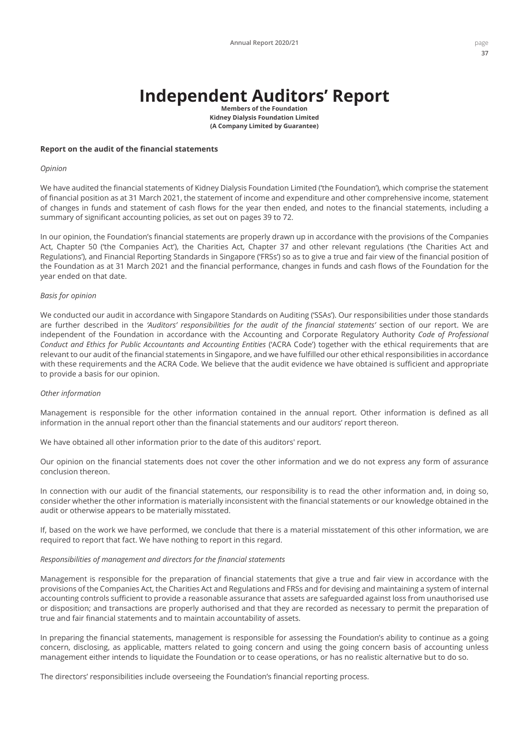# **Independent Auditors' Report**

**Members of the Foundation Kidney Dialysis Foundation Limited (A Company Limited by Guarantee)**

#### **Report on the audit of the financial statements**

#### *Opinion*

We have audited the financial statements of Kidney Dialysis Foundation Limited ('the Foundation'), which comprise the statement of financial position as at 31 March 2021, the statement of income and expenditure and other comprehensive income, statement of changes in funds and statement of cash flows for the year then ended, and notes to the financial statements, including a summary of significant accounting policies, as set out on pages 39 to 72.

In our opinion, the Foundation's financial statements are properly drawn up in accordance with the provisions of the Companies Act, Chapter 50 ('the Companies Act'), the Charities Act, Chapter 37 and other relevant regulations ('the Charities Act and Regulations'), and Financial Reporting Standards in Singapore ('FRSs') so as to give a true and fair view of the financial position of the Foundation as at 31 March 2021 and the financial performance, changes in funds and cash flows of the Foundation for the year ended on that date.

#### *Basis for opinion*

We conducted our audit in accordance with Singapore Standards on Auditing ('SSAs'). Our responsibilities under those standards are further described in the *'Auditors' responsibilities for the audit of the financial statements'* section of our report. We are independent of the Foundation in accordance with the Accounting and Corporate Regulatory Authority *Code of Professional Conduct and Ethics for Public Accountants and Accounting Entities* ('ACRA Code') together with the ethical requirements that are relevant to our audit of the financial statements in Singapore, and we have fulfilled our other ethical responsibilities in accordance with these requirements and the ACRA Code. We believe that the audit evidence we have obtained is sufficient and appropriate to provide a basis for our opinion.

#### *Other information*

Management is responsible for the other information contained in the annual report. Other information is defined as all information in the annual report other than the financial statements and our auditors' report thereon.

We have obtained all other information prior to the date of this auditors' report.

Our opinion on the financial statements does not cover the other information and we do not express any form of assurance conclusion thereon.

In connection with our audit of the financial statements, our responsibility is to read the other information and, in doing so, consider whether the other information is materially inconsistent with the financial statements or our knowledge obtained in the audit or otherwise appears to be materially misstated.

If, based on the work we have performed, we conclude that there is a material misstatement of this other information, we are required to report that fact. We have nothing to report in this regard.

#### *Responsibilities of management and directors for the financial statements*

Management is responsible for the preparation of financial statements that give a true and fair view in accordance with the provisions of the Companies Act, the Charities Act and Regulations and FRSs and for devising and maintaining a system of internal accounting controls sufficient to provide a reasonable assurance that assets are safeguarded against loss from unauthorised use or disposition; and transactions are properly authorised and that they are recorded as necessary to permit the preparation of true and fair financial statements and to maintain accountability of assets.

In preparing the financial statements, management is responsible for assessing the Foundation's ability to continue as a going concern, disclosing, as applicable, matters related to going concern and using the going concern basis of accounting unless management either intends to liquidate the Foundation or to cease operations, or has no realistic alternative but to do so.

The directors' responsibilities include overseeing the Foundation's financial reporting process.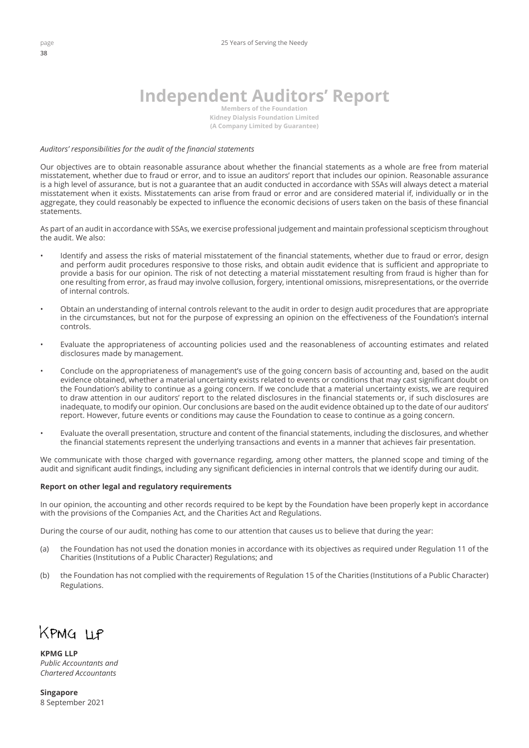## **Independent Auditors' Report**

**Members of the Foundation Kidney Dialysis Foundation Limited (A Company Limited by Guarantee)**

### *Auditors' responsibilities for the audit of the financial statements*

Our objectives are to obtain reasonable assurance about whether the financial statements as a whole are free from material misstatement, whether due to fraud or error, and to issue an auditors' report that includes our opinion. Reasonable assurance is a high level of assurance, but is not a guarantee that an audit conducted in accordance with SSAs will always detect a material misstatement when it exists. Misstatements can arise from fraud or error and are considered material if, individually or in the aggregate, they could reasonably be expected to influence the economic decisions of users taken on the basis of these financial statements.

As part of an audit in accordance with SSAs, we exercise professional judgement and maintain professional scepticism throughout the audit. We also:

- Identify and assess the risks of material misstatement of the financial statements, whether due to fraud or error, design and perform audit procedures responsive to those risks, and obtain audit evidence that is sufficient and appropriate to provide a basis for our opinion. The risk of not detecting a material misstatement resulting from fraud is higher than for one resulting from error, as fraud may involve collusion, forgery, intentional omissions, misrepresentations, or the override of internal controls.
- Obtain an understanding of internal controls relevant to the audit in order to design audit procedures that are appropriate in the circumstances, but not for the purpose of expressing an opinion on the effectiveness of the Foundation's internal controls.
- Evaluate the appropriateness of accounting policies used and the reasonableness of accounting estimates and related disclosures made by management.
- Conclude on the appropriateness of management's use of the going concern basis of accounting and, based on the audit evidence obtained, whether a material uncertainty exists related to events or conditions that may cast significant doubt on the Foundation's ability to continue as a going concern. If we conclude that a material uncertainty exists, we are required to draw attention in our auditors' report to the related disclosures in the financial statements or, if such disclosures are inadequate, to modify our opinion. Our conclusions are based on the audit evidence obtained up to the date of our auditors' report. However, future events or conditions may cause the Foundation to cease to continue as a going concern.
- Evaluate the overall presentation, structure and content of the financial statements, including the disclosures, and whether the financial statements represent the underlying transactions and events in a manner that achieves fair presentation.

We communicate with those charged with governance regarding, among other matters, the planned scope and timing of the audit and significant audit findings, including any significant deficiencies in internal controls that we identify during our audit.

#### **Report on other legal and regulatory requirements**

In our opinion, the accounting and other records required to be kept by the Foundation have been properly kept in accordance with the provisions of the Companies Act, and the Charities Act and Regulations.

During the course of our audit, nothing has come to our attention that causes us to believe that during the year:

- (a) the Foundation has not used the donation monies in accordance with its objectives as required under Regulation 11 of the Charities (Institutions of a Public Character) Regulations; and
- (b) the Foundation has not complied with the requirements of Regulation 15 of the Charities (Institutions of a Public Character) Regulations.

KPMG LLP

**KPMG LLP** *Public Accountants and Chartered Accountants*

**Singapore** 8 September 2021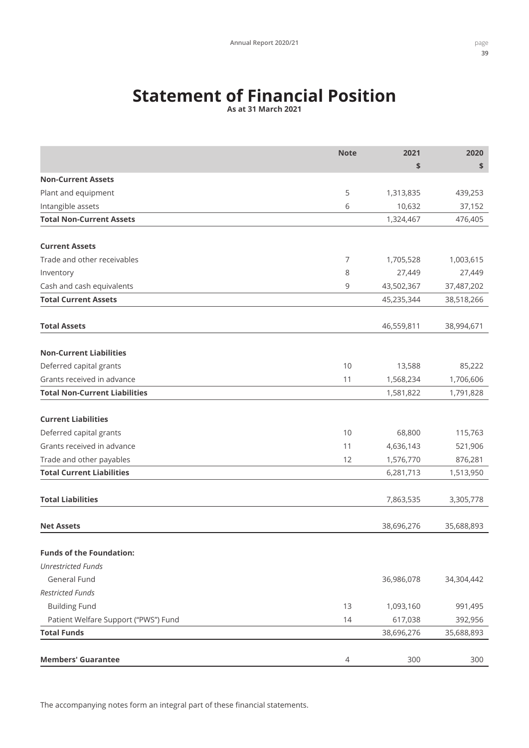## **Statement of Financial Position As at 31 March 2021**

|                                      | <b>Note</b>    | 2021       | 2020       |
|--------------------------------------|----------------|------------|------------|
|                                      |                | \$         | \$         |
| <b>Non-Current Assets</b>            |                |            |            |
| Plant and equipment                  | 5              | 1,313,835  | 439,253    |
| Intangible assets                    | 6              | 10,632     | 37,152     |
| <b>Total Non-Current Assets</b>      |                | 1,324,467  | 476,405    |
| <b>Current Assets</b>                |                |            |            |
| Trade and other receivables          | $\overline{7}$ | 1,705,528  | 1,003,615  |
| Inventory                            | 8              | 27,449     | 27,449     |
| Cash and cash equivalents            | 9              | 43,502,367 | 37,487,202 |
| <b>Total Current Assets</b>          |                | 45,235,344 | 38,518,266 |
| <b>Total Assets</b>                  |                | 46,559,811 | 38,994,671 |
|                                      |                |            |            |
| <b>Non-Current Liabilities</b>       |                |            |            |
| Deferred capital grants              | 10             | 13,588     | 85,222     |
| Grants received in advance           | 11             | 1,568,234  | 1,706,606  |
| <b>Total Non-Current Liabilities</b> |                | 1,581,822  | 1,791,828  |
|                                      |                |            |            |
| <b>Current Liabilities</b>           |                |            |            |
| Deferred capital grants              | 10             | 68,800     | 115,763    |
| Grants received in advance           | 11             | 4,636,143  | 521,906    |
| Trade and other payables             | 12             | 1,576,770  | 876,281    |
| <b>Total Current Liabilities</b>     |                | 6,281,713  | 1,513,950  |
| <b>Total Liabilities</b>             |                | 7,863,535  | 3,305,778  |
|                                      |                |            |            |
| <b>Net Assets</b>                    |                | 38,696,276 | 35,688,893 |
| <b>Funds of the Foundation:</b>      |                |            |            |
| <b>Unrestricted Funds</b>            |                |            |            |
| General Fund                         |                | 36,986,078 | 34,304,442 |
| <b>Restricted Funds</b>              |                |            |            |
| <b>Building Fund</b>                 | 13             | 1,093,160  | 991,495    |
| Patient Welfare Support ("PWS") Fund | 14             | 617,038    | 392,956    |
| <b>Total Funds</b>                   |                | 38,696,276 | 35,688,893 |
|                                      |                |            |            |
| <b>Members' Guarantee</b>            | 4              | 300        | 300        |

The accompanying notes form an integral part of these financial statements.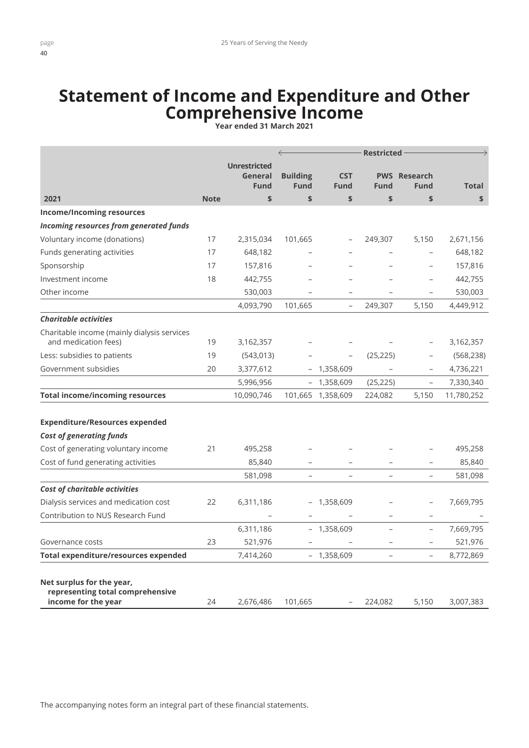## **Statement of Income and Expenditure and Other Comprehensive Income**

**Year ended 31 March 2021**

|                                                                                      |             |                                | <b>Restricted</b><br>$\leftarrow$ |                          |                   |                          |              |
|--------------------------------------------------------------------------------------|-------------|--------------------------------|-----------------------------------|--------------------------|-------------------|--------------------------|--------------|
|                                                                                      |             | <b>Unrestricted</b><br>General |                                   | <b>CST</b>               | <b>PWS</b>        | <b>Research</b>          |              |
|                                                                                      |             | Fund                           | <b>Building</b><br><b>Fund</b>    | Fund                     | Fund              | Fund                     | <b>Total</b> |
| 2021                                                                                 | <b>Note</b> | \$                             | \$                                | \$                       | \$                | \$                       | \$           |
| <b>Income/Incoming resources</b>                                                     |             |                                |                                   |                          |                   |                          |              |
| Incoming resources from generated funds                                              |             |                                |                                   |                          |                   |                          |              |
| Voluntary income (donations)                                                         | 17          | 2,315,034                      | 101,665                           |                          | 249,307           | 5,150                    | 2,671,156    |
| Funds generating activities                                                          | 17          | 648,182                        |                                   |                          |                   |                          | 648,182      |
| Sponsorship                                                                          | 17          | 157,816                        |                                   |                          |                   | $\equiv$                 | 157,816      |
| Investment income                                                                    | 18          | 442,755                        |                                   |                          |                   |                          | 442,755      |
| Other income                                                                         |             | 530,003                        |                                   |                          |                   | $\overline{\phantom{0}}$ | 530,003      |
|                                                                                      |             | 4,093,790                      | 101,665                           | $\overline{\phantom{0}}$ | 249,307           | 5,150                    | 4,449,912    |
| <b>Charitable activities</b>                                                         |             |                                |                                   |                          |                   |                          |              |
| Charitable income (mainly dialysis services<br>and medication fees)                  | 19          | 3,162,357                      |                                   |                          |                   |                          | 3,162,357    |
| Less: subsidies to patients                                                          | 19          | (543, 013)                     |                                   |                          | (25, 225)         |                          | (568, 238)   |
| Government subsidies                                                                 | 20          | 3,377,612                      |                                   | - 1,358,609              |                   |                          | 4,736,221    |
|                                                                                      |             | 5,996,956                      |                                   | $-1,358,609$             | (25, 225)         | $\overline{\phantom{0}}$ | 7,330,340    |
| <b>Total income/incoming resources</b>                                               |             | 10,090,746                     |                                   | 101,665 1,358,609        | 224,082           | 5,150                    | 11,780,252   |
|                                                                                      |             |                                |                                   |                          |                   |                          |              |
| <b>Expenditure/Resources expended</b>                                                |             |                                |                                   |                          |                   |                          |              |
| <b>Cost of generating funds</b>                                                      |             |                                |                                   |                          |                   |                          |              |
| Cost of generating voluntary income                                                  | 21          | 495,258                        |                                   |                          |                   |                          | 495,258      |
| Cost of fund generating activities                                                   |             | 85,840                         |                                   |                          |                   |                          | 85,840       |
|                                                                                      |             | 581,098                        | $\overline{\phantom{0}}$          | $\overline{\phantom{a}}$ | $\equiv$          |                          | 581,098      |
| Cost of charitable activities                                                        |             |                                |                                   |                          |                   |                          |              |
| Dialysis services and medication cost                                                | 22          | 6,311,186                      |                                   | $-1,358,609$             |                   |                          | 7,669,795    |
| Contribution to NUS Research Fund                                                    |             |                                |                                   | $\overline{\phantom{a}}$ | $\qquad \qquad -$ | $\overline{\phantom{0}}$ |              |
|                                                                                      |             | 6,311,186                      |                                   | $-1,358,609$             | $\equiv$          | $\overline{\phantom{0}}$ | 7,669,795    |
| Governance costs                                                                     | 23          | 521,976                        |                                   |                          |                   |                          | 521,976      |
| <b>Total expenditure/resources expended</b>                                          |             | 7,414,260                      |                                   | $-1,358,609$             |                   | $\overline{\phantom{0}}$ | 8,772,869    |
| Net surplus for the year,<br>representing total comprehensive<br>income for the year | 24          | 2,676,486                      | 101,665                           |                          | 224,082           | 5,150                    | 3,007,383    |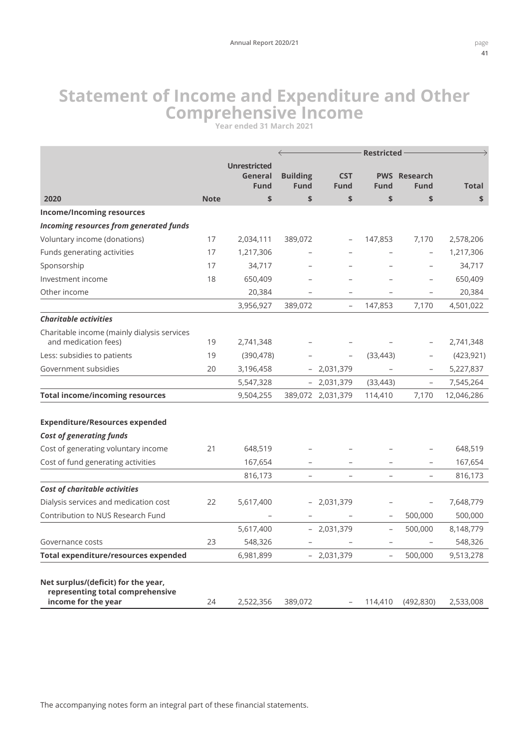## **Statement of Income and Expenditure and Other Comprehensive Income**

**Year ended 31 March 2021**

|                                                                                                | <b>Restricted</b> |                     |                 |                          |                          |                          |              |
|------------------------------------------------------------------------------------------------|-------------------|---------------------|-----------------|--------------------------|--------------------------|--------------------------|--------------|
|                                                                                                |                   | <b>Unrestricted</b> |                 |                          |                          |                          |              |
|                                                                                                |                   | General             | <b>Building</b> | <b>CST</b>               |                          | <b>PWS Research</b>      |              |
|                                                                                                |                   | Fund                | <b>Fund</b>     | <b>Fund</b>              | <b>Fund</b>              | Fund                     | <b>Total</b> |
| 2020                                                                                           | <b>Note</b>       | \$                  | \$              | \$                       | \$                       | \$                       | \$           |
| <b>Income/Incoming resources</b>                                                               |                   |                     |                 |                          |                          |                          |              |
| Incoming resources from generated funds                                                        |                   |                     |                 |                          |                          |                          |              |
| Voluntary income (donations)                                                                   | 17                | 2,034,111           | 389,072         |                          | 147,853                  | 7,170                    | 2,578,206    |
| Funds generating activities                                                                    | 17                | 1,217,306           |                 |                          |                          |                          | 1,217,306    |
| Sponsorship                                                                                    | 17                | 34,717              |                 |                          |                          |                          | 34,717       |
| Investment income                                                                              | 18                | 650,409             |                 |                          |                          |                          | 650,409      |
| Other income                                                                                   |                   | 20,384              |                 |                          |                          |                          | 20,384       |
|                                                                                                |                   | 3,956,927           | 389,072         | $\overline{\phantom{a}}$ | 147,853                  | 7,170                    | 4,501,022    |
| <b>Charitable activities</b>                                                                   |                   |                     |                 |                          |                          |                          |              |
| Charitable income (mainly dialysis services<br>and medication fees)                            | 19                | 2,741,348           |                 |                          |                          |                          | 2,741,348    |
| Less: subsidies to patients                                                                    | 19                | (390, 478)          |                 |                          | (33, 443)                |                          | (423, 921)   |
| Government subsidies                                                                           | 20                | 3,196,458           |                 | $-2,031,379$             |                          |                          | 5,227,837    |
|                                                                                                |                   | 5,547,328           |                 | $-2,031,379$             | (33, 443)                | $\overline{\phantom{a}}$ | 7,545,264    |
| <b>Total income/incoming resources</b>                                                         |                   | 9,504,255           |                 | 389,072 2,031,379        | 114,410                  | 7,170                    | 12,046,286   |
|                                                                                                |                   |                     |                 |                          |                          |                          |              |
| <b>Expenditure/Resources expended</b>                                                          |                   |                     |                 |                          |                          |                          |              |
| <b>Cost of generating funds</b>                                                                |                   |                     |                 |                          |                          |                          |              |
| Cost of generating voluntary income                                                            | 21                | 648,519             |                 |                          |                          |                          | 648,519      |
| Cost of fund generating activities                                                             |                   | 167,654             |                 |                          |                          |                          | 167,654      |
|                                                                                                |                   | 816,173             |                 |                          | $\overline{\phantom{0}}$ |                          | 816,173      |
| Cost of charitable activities                                                                  |                   |                     |                 |                          |                          |                          |              |
| Dialysis services and medication cost                                                          | 22                | 5,617,400           |                 | $-2,031,379$             |                          |                          | 7,648,779    |
| Contribution to NUS Research Fund                                                              |                   |                     |                 |                          |                          | 500,000                  | 500,000      |
|                                                                                                |                   | 5,617,400           |                 | $-2,031,379$             | $\overline{\phantom{0}}$ | 500,000                  | 8,148,779    |
| Governance costs                                                                               | 23                | 548,326             |                 |                          | $-$                      | $-$                      | 548,326      |
| <b>Total expenditure/resources expended</b>                                                    |                   | 6,981,899           |                 | $-2,031,379$             |                          | 500,000                  | 9,513,278    |
|                                                                                                |                   |                     |                 |                          |                          |                          |              |
| Net surplus/(deficit) for the year,<br>representing total comprehensive<br>income for the year | 24                | 2,522,356           | 389,072         |                          | 114,410                  | (492, 830)               | 2,533,008    |

The accompanying notes form an integral part of these financial statements.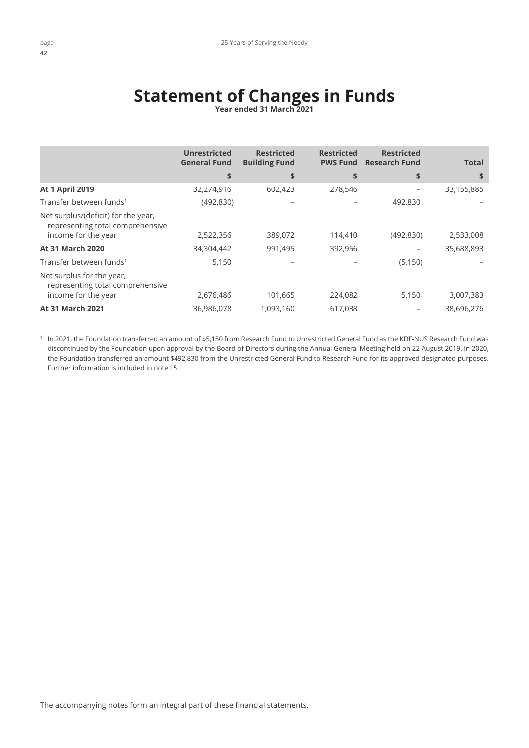# **Statement of Changes in Funds**

**Year ended 31 March 2021**

|                                                                         | <b>Unrestricted</b><br><b>General Fund</b> | <b>Restricted</b><br><b>Building Fund</b> | <b>Restricted</b><br><b>PWS Fund</b> | <b>Restricted</b><br><b>Research Fund</b> | <b>Total</b> |
|-------------------------------------------------------------------------|--------------------------------------------|-------------------------------------------|--------------------------------------|-------------------------------------------|--------------|
|                                                                         | \$                                         | \$                                        | \$                                   | \$                                        | \$           |
| <b>At 1 April 2019</b>                                                  | 32,274,916                                 | 602,423                                   | 278,546                              |                                           | 33,155,885   |
| Transfer between funds <sup>1</sup>                                     | (492, 830)                                 |                                           |                                      | 492,830                                   |              |
| Net surplus/(deficit) for the year,<br>representing total comprehensive |                                            |                                           |                                      |                                           |              |
| income for the year                                                     | 2,522,356                                  | 389,072                                   | 114,410                              | (492, 830)                                | 2,533,008    |
| <b>At 31 March 2020</b>                                                 | 34,304,442                                 | 991,495                                   | 392,956                              |                                           | 35,688,893   |
| Transfer between funds <sup>1</sup>                                     | 5,150                                      |                                           |                                      | (5, 150)                                  |              |
| Net surplus for the year,<br>representing total comprehensive           |                                            |                                           |                                      |                                           |              |
| income for the year                                                     | 2,676,486                                  | 101,665                                   | 224,082                              | 5,150                                     | 3,007,383    |
| <b>At 31 March 2021</b>                                                 | 36,986,078                                 | 1,093,160                                 | 617.038                              |                                           | 38,696,276   |

<sup>1</sup> In 2021, the Foundation transferred an amount of \$5,150 from Research Fund to Unrestricted General Fund as the KDF-NUS Research Fund was discontinued by the Foundation upon approval by the Board of Directors during the Annual General Meeting held on 22 August 2019. In 2020, the Foundation transferred an amount \$492,830 from the Unrestricted General Fund to Research Fund for its approved designated purposes. Further information is included in note 15.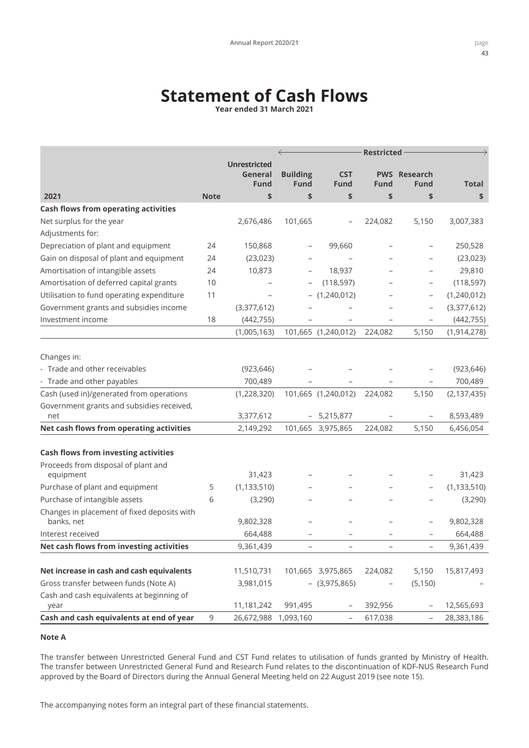# **Statement of Cash Flows**

**Year ended 31 March 2021**

|                                                           |             |                                        | <b>Restricted</b>              |                           |                           |                          |               |
|-----------------------------------------------------------|-------------|----------------------------------------|--------------------------------|---------------------------|---------------------------|--------------------------|---------------|
|                                                           |             | <b>Unrestricted</b><br>General<br>Fund | <b>Building</b><br><b>Fund</b> | <b>CST</b><br><b>Fund</b> | <b>PWS</b><br><b>Fund</b> | Research<br><b>Fund</b>  | <b>Total</b>  |
| 2021                                                      | <b>Note</b> | \$                                     | \$                             | \$                        | \$                        | \$                       | \$            |
| <b>Cash flows from operating activities</b>               |             |                                        |                                |                           |                           |                          |               |
| Net surplus for the year                                  |             | 2,676,486                              | 101,665                        |                           | 224,082                   | 5,150                    | 3,007,383     |
| Adjustments for:                                          |             |                                        |                                |                           |                           |                          |               |
| Depreciation of plant and equipment                       | 24          | 150,868                                | $\qquad \qquad -$              | 99,660                    |                           |                          | 250,528       |
| Gain on disposal of plant and equipment                   | 24          | (23, 023)                              |                                |                           |                           |                          | (23, 023)     |
| Amortisation of intangible assets                         | 24          | 10,873                                 |                                | 18,937                    |                           |                          | 29,810        |
| Amortisation of deferred capital grants                   | 10          |                                        |                                | (118, 597)                |                           | -                        | (118, 597)    |
| Utilisation to fund operating expenditure                 | 11          |                                        |                                | (1,240,012)               |                           |                          | (1,240,012)   |
| Government grants and subsidies income                    |             | (3,377,612)                            |                                |                           |                           | $\overline{\phantom{0}}$ | (3,377,612)   |
| Investment income                                         | 18          | (442, 755)                             |                                |                           |                           | $\overline{\phantom{0}}$ | (442, 755)    |
|                                                           |             | (1,005,163)                            |                                | 101,665 (1,240,012)       | 224,082                   | 5,150                    | (1, 914, 278) |
| Changes in:                                               |             |                                        |                                |                           |                           |                          |               |
| - Trade and other receivables                             |             | (923, 646)                             |                                |                           |                           |                          | (923, 646)    |
| - Trade and other payables                                |             | 700,489                                |                                |                           |                           |                          | 700,489       |
| Cash (used in)/generated from operations                  |             | (1,228,320)                            |                                | 101,665 (1,240,012)       | 224,082                   | 5,150                    | (2, 137, 435) |
| Government grants and subsidies received,                 |             |                                        |                                |                           |                           |                          |               |
| net                                                       |             | 3,377,612                              |                                | $-5,215,877$              |                           | $\overline{\phantom{a}}$ | 8,593,489     |
| Net cash flows from operating activities                  |             | 2,149,292                              |                                | 101,665 3,975,865         | 224,082                   | 5,150                    | 6,456,054     |
| <b>Cash flows from investing activities</b>               |             |                                        |                                |                           |                           |                          |               |
| Proceeds from disposal of plant and                       |             |                                        |                                |                           |                           |                          |               |
| equipment                                                 |             | 31,423                                 |                                |                           |                           |                          | 31,423        |
| Purchase of plant and equipment                           | 5           | (1, 133, 510)                          |                                |                           |                           | $\overline{\phantom{0}}$ | (1, 133, 510) |
| Purchase of intangible assets                             | 6           | (3,290)                                |                                |                           |                           |                          | (3,290)       |
| Changes in placement of fixed deposits with<br>banks, net |             | 9,802,328                              |                                |                           |                           |                          | 9,802,328     |
| Interest received                                         |             | 664,488                                |                                |                           |                           |                          | 664,488       |
| Net cash flows from investing activities                  |             | 9,361,439                              |                                |                           |                           |                          | 9,361,439     |
|                                                           |             |                                        |                                |                           |                           |                          |               |
| Net increase in cash and cash equivalents                 |             | 11,510,731                             |                                | 101,665 3,975,865         | 224,082                   | 5,150                    | 15,817,493    |
| Gross transfer between funds (Note A)                     |             | 3,981,015                              |                                | $-$ (3,975,865)           | $\overline{\phantom{a}}$  | (5, 150)                 |               |
| Cash and cash equivalents at beginning of<br>year         |             | 11,181,242                             | 991,495                        |                           | 392,956                   |                          | 12,565,693    |
| Cash and cash equivalents at end of year                  | 9           | 26,672,988 1,093,160                   |                                |                           | 617,038                   |                          | 28,383,186    |
|                                                           |             |                                        |                                |                           |                           |                          |               |

## **Note A**

The transfer between Unrestricted General Fund and CST Fund relates to utilisation of funds granted by Ministry of Health. The transfer between Unrestricted General Fund and Research Fund relates to the discontinuation of KDF-NUS Research Fund approved by the Board of Directors during the Annual General Meeting held on 22 August 2019 (see note 15).

The accompanying notes form an integral part of these financial statements.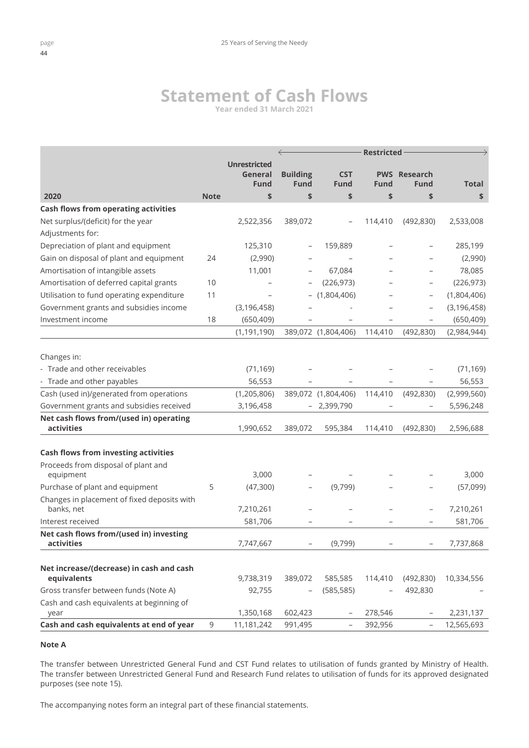## **Statement of Cash Flows Year ended 31 March 2021**

|                                                           |             |                                        | <b>Restricted</b>              |                           |                           |                         |               |
|-----------------------------------------------------------|-------------|----------------------------------------|--------------------------------|---------------------------|---------------------------|-------------------------|---------------|
|                                                           |             | <b>Unrestricted</b><br>General<br>Fund | <b>Building</b><br><b>Fund</b> | <b>CST</b><br><b>Fund</b> | <b>PWS</b><br><b>Fund</b> | Research<br><b>Fund</b> | <b>Total</b>  |
| 2020                                                      | <b>Note</b> | \$                                     | \$                             | \$                        | \$                        | \$                      | \$            |
| <b>Cash flows from operating activities</b>               |             |                                        |                                |                           |                           |                         |               |
| Net surplus/(deficit) for the year<br>Adjustments for:    |             | 2,522,356                              | 389,072                        |                           | 114,410                   | (492, 830)              | 2,533,008     |
| Depreciation of plant and equipment                       |             | 125,310                                |                                | 159,889                   |                           |                         | 285,199       |
| Gain on disposal of plant and equipment                   | 24          | (2,990)                                |                                |                           |                           |                         | (2,990)       |
| Amortisation of intangible assets                         |             | 11,001                                 |                                | 67,084                    |                           |                         | 78,085        |
| Amortisation of deferred capital grants                   | 10          |                                        |                                | (226, 973)                |                           |                         | (226, 973)    |
| Utilisation to fund operating expenditure                 | 11          |                                        |                                | (1,804,406)               |                           |                         | (1,804,406)   |
| Government grants and subsidies income                    |             | (3, 196, 458)                          |                                |                           |                           |                         | (3, 196, 458) |
| Investment income                                         | 18          | (650, 409)                             |                                |                           |                           |                         | (650, 409)    |
|                                                           |             | (1, 191, 190)                          |                                | 389,072 (1,804,406)       | 114,410                   | (492, 830)              | (2,984,944)   |
|                                                           |             |                                        |                                |                           |                           |                         |               |
| Changes in:                                               |             |                                        |                                |                           |                           |                         |               |
| - Trade and other receivables                             |             | (71, 169)                              |                                |                           |                           |                         | (71, 169)     |
| - Trade and other payables                                |             | 56,553                                 |                                |                           |                           |                         | 56,553        |
| Cash (used in)/generated from operations                  |             | (1, 205, 806)                          |                                | 389,072 (1,804,406)       | 114,410                   | (492, 830)              | (2,999,560)   |
| Government grants and subsidies received                  |             | 3,196,458                              | $-$                            | 2,399,790                 |                           |                         | 5,596,248     |
| Net cash flows from/(used in) operating<br>activities     |             | 1,990,652                              | 389,072                        | 595,384                   | 114,410                   | (492, 830)              | 2,596,688     |
| <b>Cash flows from investing activities</b>               |             |                                        |                                |                           |                           |                         |               |
| Proceeds from disposal of plant and<br>equipment          |             | 3,000                                  |                                |                           |                           |                         | 3,000         |
| Purchase of plant and equipment                           | 5           | (47, 300)                              |                                | (9,799)                   |                           |                         | (57,099)      |
| Changes in placement of fixed deposits with<br>banks, net |             | 7,210,261                              |                                |                           |                           |                         | 7,210,261     |
| Interest received                                         |             | 581,706                                |                                |                           |                           |                         | 581,706       |
| Net cash flows from/(used in) investing<br>activities     |             | 7,747,667                              |                                | (9,799)                   |                           |                         | 7,737,868     |
| Net increase/(decrease) in cash and cash<br>equivalents   |             | 9,738,319                              | 389,072                        | 585,585                   | 114,410                   | (492, 830)              | 10,334,556    |
| Gross transfer between funds (Note A)                     |             | 92,755                                 |                                | (585, 585)                |                           | 492,830                 |               |
| Cash and cash equivalents at beginning of<br>year         |             | 1,350,168                              | 602,423                        |                           | 278,546                   |                         | 2,231,137     |
| Cash and cash equivalents at end of year                  | 9           | 11,181,242                             | 991,495                        |                           | 392,956                   |                         | 12,565,693    |

## **Note A**

The transfer between Unrestricted General Fund and CST Fund relates to utilisation of funds granted by Ministry of Health. The transfer between Unrestricted General Fund and Research Fund relates to utilisation of funds for its approved designated purposes (see note 15).

The accompanying notes form an integral part of these financial statements.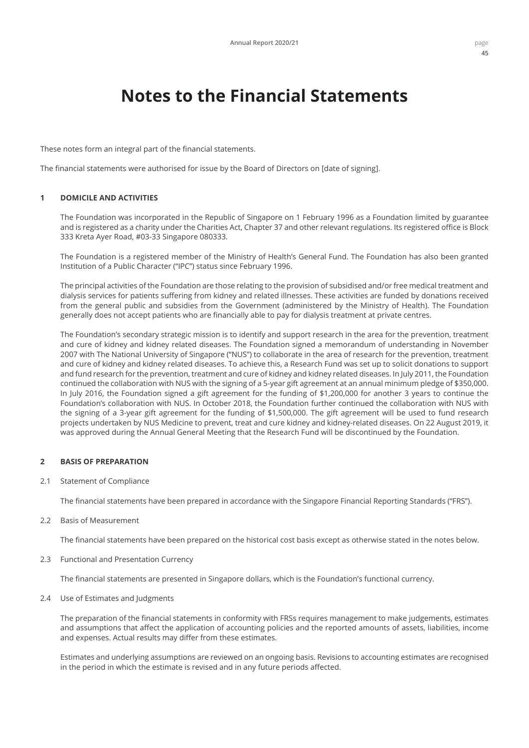These notes form an integral part of the financial statements.

The financial statements were authorised for issue by the Board of Directors on [date of signing].

### **1 DOMICILE AND ACTIVITIES**

The Foundation was incorporated in the Republic of Singapore on 1 February 1996 as a Foundation limited by guarantee and is registered as a charity under the Charities Act, Chapter 37 and other relevant regulations. Its registered office is Block 333 Kreta Ayer Road, #03-33 Singapore 080333.

The Foundation is a registered member of the Ministry of Health's General Fund. The Foundation has also been granted Institution of a Public Character ("IPC") status since February 1996.

The principal activities of the Foundation are those relating to the provision of subsidised and/or free medical treatment and dialysis services for patients suffering from kidney and related illnesses. These activities are funded by donations received from the general public and subsidies from the Government (administered by the Ministry of Health). The Foundation generally does not accept patients who are financially able to pay for dialysis treatment at private centres.

The Foundation's secondary strategic mission is to identify and support research in the area for the prevention, treatment and cure of kidney and kidney related diseases. The Foundation signed a memorandum of understanding in November 2007 with The National University of Singapore ("NUS") to collaborate in the area of research for the prevention, treatment and cure of kidney and kidney related diseases. To achieve this, a Research Fund was set up to solicit donations to support and fund research for the prevention, treatment and cure of kidney and kidney related diseases. In July 2011, the Foundation continued the collaboration with NUS with the signing of a 5-year gift agreement at an annual minimum pledge of \$350,000. In July 2016, the Foundation signed a gift agreement for the funding of \$1,200,000 for another 3 years to continue the Foundation's collaboration with NUS. In October 2018, the Foundation further continued the collaboration with NUS with the signing of a 3-year gift agreement for the funding of \$1,500,000. The gift agreement will be used to fund research projects undertaken by NUS Medicine to prevent, treat and cure kidney and kidney-related diseases. On 22 August 2019, it was approved during the Annual General Meeting that the Research Fund will be discontinued by the Foundation.

### **2 BASIS OF PREPARATION**

2.1 Statement of Compliance

The financial statements have been prepared in accordance with the Singapore Financial Reporting Standards ("FRS").

2.2 Basis of Measurement

The financial statements have been prepared on the historical cost basis except as otherwise stated in the notes below.

2.3 Functional and Presentation Currency

The financial statements are presented in Singapore dollars, which is the Foundation's functional currency.

2.4 Use of Estimates and Judgments

The preparation of the financial statements in conformity with FRSs requires management to make judgements, estimates and assumptions that affect the application of accounting policies and the reported amounts of assets, liabilities, income and expenses. Actual results may differ from these estimates.

Estimates and underlying assumptions are reviewed on an ongoing basis. Revisions to accounting estimates are recognised in the period in which the estimate is revised and in any future periods affected.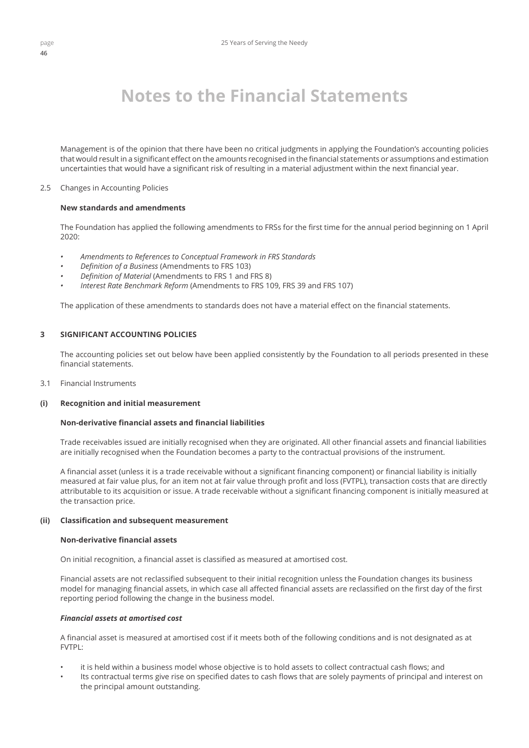Management is of the opinion that there have been no critical judgments in applying the Foundation's accounting policies that would result in a significant effect on the amounts recognised in the financial statements or assumptions and estimation uncertainties that would have a significant risk of resulting in a material adjustment within the next financial year.

2.5 Changes in Accounting Policies

### **New standards and amendments**

The Foundation has applied the following amendments to FRSs for the first time for the annual period beginning on 1 April 2020:

- *• Amendments to References to Conceptual Framework in FRS Standards*
- *• Definition of a Business* (Amendments to FRS 103)
- *• Definition of Material* (Amendments to FRS 1 and FRS 8)
- *• Interest Rate Benchmark Reform* (Amendments to FRS 109, FRS 39 and FRS 107)

The application of these amendments to standards does not have a material effect on the financial statements.

### **3 SIGNIFICANT ACCOUNTING POLICIES**

The accounting policies set out below have been applied consistently by the Foundation to all periods presented in these financial statements.

3.1 Financial Instruments

#### **(i) Recognition and initial measurement**

## **Non-derivative financial assets and financial liabilities**

Trade receivables issued are initially recognised when they are originated. All other financial assets and financial liabilities are initially recognised when the Foundation becomes a party to the contractual provisions of the instrument.

A financial asset (unless it is a trade receivable without a significant financing component) or financial liability is initially measured at fair value plus, for an item not at fair value through profit and loss (FVTPL), transaction costs that are directly attributable to its acquisition or issue. A trade receivable without a significant financing component is initially measured at the transaction price.

#### **(ii) Classification and subsequent measurement**

#### **Non-derivative financial assets**

On initial recognition, a financial asset is classified as measured at amortised cost.

Financial assets are not reclassified subsequent to their initial recognition unless the Foundation changes its business model for managing financial assets, in which case all affected financial assets are reclassified on the first day of the first reporting period following the change in the business model.

#### *Financial assets at amortised cost*

A financial asset is measured at amortised cost if it meets both of the following conditions and is not designated as at FVTPL:

- it is held within a business model whose objective is to hold assets to collect contractual cash flows; and
- Its contractual terms give rise on specified dates to cash flows that are solely payments of principal and interest on the principal amount outstanding.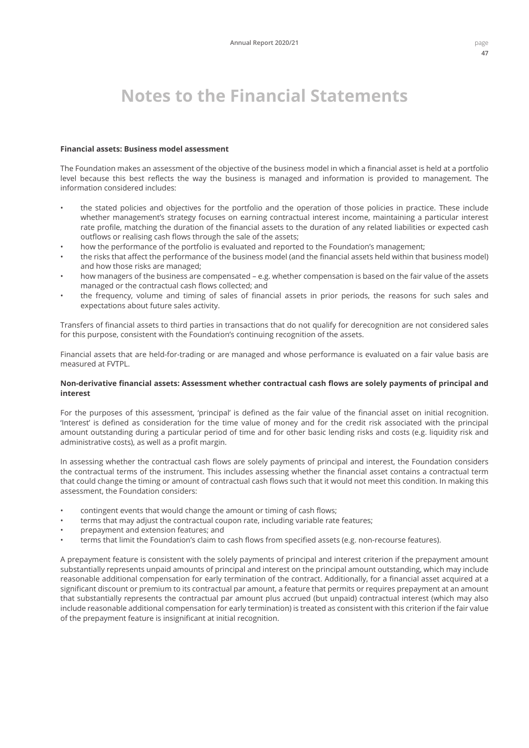#### **Financial assets: Business model assessment**

The Foundation makes an assessment of the objective of the business model in which a financial asset is held at a portfolio level because this best reflects the way the business is managed and information is provided to management. The information considered includes:

- the stated policies and objectives for the portfolio and the operation of those policies in practice. These include whether management's strategy focuses on earning contractual interest income, maintaining a particular interest rate profile, matching the duration of the financial assets to the duration of any related liabilities or expected cash outflows or realising cash flows through the sale of the assets;
- how the performance of the portfolio is evaluated and reported to the Foundation's management;
- the risks that affect the performance of the business model (and the financial assets held within that business model) and how those risks are managed;
- how managers of the business are compensated e.g. whether compensation is based on the fair value of the assets managed or the contractual cash flows collected; and
- the frequency, volume and timing of sales of financial assets in prior periods, the reasons for such sales and expectations about future sales activity.

Transfers of financial assets to third parties in transactions that do not qualify for derecognition are not considered sales for this purpose, consistent with the Foundation's continuing recognition of the assets.

Financial assets that are held-for-trading or are managed and whose performance is evaluated on a fair value basis are measured at FVTPL.

### **Non-derivative financial assets: Assessment whether contractual cash flows are solely payments of principal and interest**

For the purposes of this assessment, 'principal' is defined as the fair value of the financial asset on initial recognition. 'Interest' is defined as consideration for the time value of money and for the credit risk associated with the principal amount outstanding during a particular period of time and for other basic lending risks and costs (e.g. liquidity risk and administrative costs), as well as a profit margin.

In assessing whether the contractual cash flows are solely payments of principal and interest, the Foundation considers the contractual terms of the instrument. This includes assessing whether the financial asset contains a contractual term that could change the timing or amount of contractual cash flows such that it would not meet this condition. In making this assessment, the Foundation considers:

- contingent events that would change the amount or timing of cash flows;
- terms that may adjust the contractual coupon rate, including variable rate features;
- prepayment and extension features; and
- terms that limit the Foundation's claim to cash flows from specified assets (e.g. non-recourse features).

A prepayment feature is consistent with the solely payments of principal and interest criterion if the prepayment amount substantially represents unpaid amounts of principal and interest on the principal amount outstanding, which may include reasonable additional compensation for early termination of the contract. Additionally, for a financial asset acquired at a significant discount or premium to its contractual par amount, a feature that permits or requires prepayment at an amount that substantially represents the contractual par amount plus accrued (but unpaid) contractual interest (which may also include reasonable additional compensation for early termination) is treated as consistent with this criterion if the fair value of the prepayment feature is insignificant at initial recognition.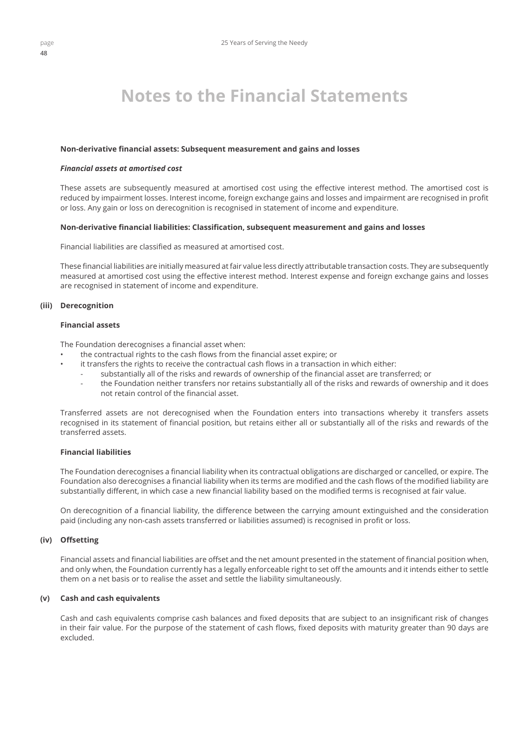#### **Non-derivative financial assets: Subsequent measurement and gains and losses**

#### *Financial assets at amortised cost*

These assets are subsequently measured at amortised cost using the effective interest method. The amortised cost is reduced by impairment losses. Interest income, foreign exchange gains and losses and impairment are recognised in profit or loss. Any gain or loss on derecognition is recognised in statement of income and expenditure.

#### **Non-derivative financial liabilities: Classification, subsequent measurement and gains and losses**

Financial liabilities are classified as measured at amortised cost.

These financial liabilities are initially measured at fair value less directly attributable transaction costs. They are subsequently measured at amortised cost using the effective interest method. Interest expense and foreign exchange gains and losses are recognised in statement of income and expenditure.

### **(iii) Derecognition**

#### **Financial assets**

The Foundation derecognises a financial asset when:

- the contractual rights to the cash flows from the financial asset expire; or
- it transfers the rights to receive the contractual cash flows in a transaction in which either:
	- substantially all of the risks and rewards of ownership of the financial asset are transferred; or
	- the Foundation neither transfers nor retains substantially all of the risks and rewards of ownership and it does not retain control of the financial asset.

Transferred assets are not derecognised when the Foundation enters into transactions whereby it transfers assets recognised in its statement of financial position, but retains either all or substantially all of the risks and rewards of the transferred assets.

#### **Financial liabilities**

The Foundation derecognises a financial liability when its contractual obligations are discharged or cancelled, or expire. The Foundation also derecognises a financial liability when its terms are modified and the cash flows of the modified liability are substantially different, in which case a new financial liability based on the modified terms is recognised at fair value.

On derecognition of a financial liability, the difference between the carrying amount extinguished and the consideration paid (including any non-cash assets transferred or liabilities assumed) is recognised in profit or loss.

#### **(iv) Offsetting**

Financial assets and financial liabilities are offset and the net amount presented in the statement of financial position when, and only when, the Foundation currently has a legally enforceable right to set off the amounts and it intends either to settle them on a net basis or to realise the asset and settle the liability simultaneously.

## **(v) Cash and cash equivalents**

Cash and cash equivalents comprise cash balances and fixed deposits that are subject to an insignificant risk of changes in their fair value. For the purpose of the statement of cash flows, fixed deposits with maturity greater than 90 days are excluded.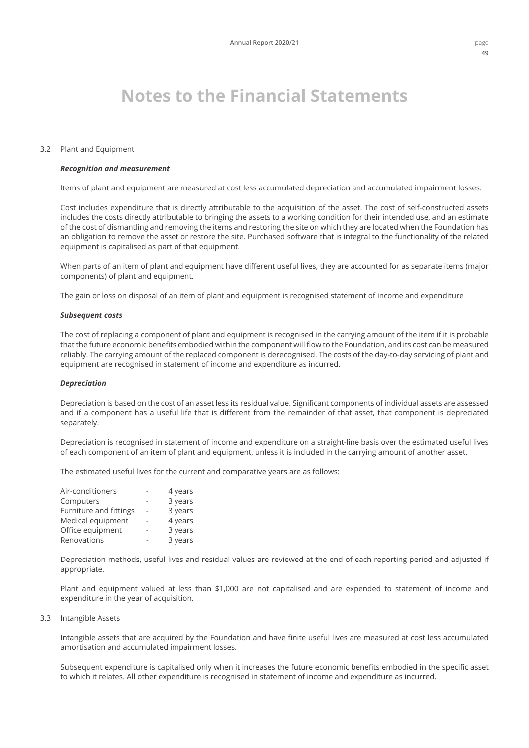#### 3.2 Plant and Equipment

#### *Recognition and measurement*

Items of plant and equipment are measured at cost less accumulated depreciation and accumulated impairment losses.

Cost includes expenditure that is directly attributable to the acquisition of the asset. The cost of self-constructed assets includes the costs directly attributable to bringing the assets to a working condition for their intended use, and an estimate of the cost of dismantling and removing the items and restoring the site on which they are located when the Foundation has an obligation to remove the asset or restore the site. Purchased software that is integral to the functionality of the related equipment is capitalised as part of that equipment.

When parts of an item of plant and equipment have different useful lives, they are accounted for as separate items (major components) of plant and equipment.

The gain or loss on disposal of an item of plant and equipment is recognised statement of income and expenditure

#### *Subsequent costs*

The cost of replacing a component of plant and equipment is recognised in the carrying amount of the item if it is probable that the future economic benefits embodied within the component will flow to the Foundation, and its cost can be measured reliably. The carrying amount of the replaced component is derecognised. The costs of the day-to-day servicing of plant and equipment are recognised in statement of income and expenditure as incurred.

#### *Depreciation*

Depreciation is based on the cost of an asset less its residual value. Significant components of individual assets are assessed and if a component has a useful life that is different from the remainder of that asset, that component is depreciated separately.

Depreciation is recognised in statement of income and expenditure on a straight-line basis over the estimated useful lives of each component of an item of plant and equipment, unless it is included in the carrying amount of another asset.

The estimated useful lives for the current and comparative years are as follows:

| Air-conditioners       | 4 years |
|------------------------|---------|
| Computers              | 3 years |
| Furniture and fittings | 3 years |
| Medical equipment      | 4 years |
| Office equipment       | 3 years |
| Renovations            | 3 years |
|                        |         |

Depreciation methods, useful lives and residual values are reviewed at the end of each reporting period and adjusted if appropriate.

Plant and equipment valued at less than \$1,000 are not capitalised and are expended to statement of income and expenditure in the year of acquisition.

#### 3.3 Intangible Assets

Intangible assets that are acquired by the Foundation and have finite useful lives are measured at cost less accumulated amortisation and accumulated impairment losses.

Subsequent expenditure is capitalised only when it increases the future economic benefits embodied in the specific asset to which it relates. All other expenditure is recognised in statement of income and expenditure as incurred.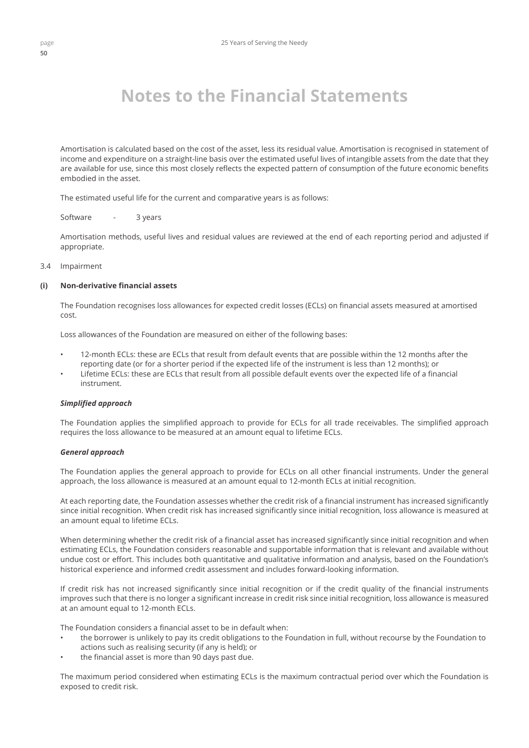Amortisation is calculated based on the cost of the asset, less its residual value. Amortisation is recognised in statement of income and expenditure on a straight-line basis over the estimated useful lives of intangible assets from the date that they are available for use, since this most closely reflects the expected pattern of consumption of the future economic benefits embodied in the asset.

The estimated useful life for the current and comparative years is as follows:

Software - 3 years

Amortisation methods, useful lives and residual values are reviewed at the end of each reporting period and adjusted if appropriate.

#### 3.4 Impairment

### **(i) Non-derivative financial assets**

The Foundation recognises loss allowances for expected credit losses (ECLs) on financial assets measured at amortised cost.

Loss allowances of the Foundation are measured on either of the following bases:

- 12-month ECLs: these are ECLs that result from default events that are possible within the 12 months after the reporting date (or for a shorter period if the expected life of the instrument is less than 12 months); or
- Lifetime ECLs: these are ECLs that result from all possible default events over the expected life of a financial instrument.

#### *Simplified approach*

The Foundation applies the simplified approach to provide for ECLs for all trade receivables. The simplified approach requires the loss allowance to be measured at an amount equal to lifetime ECLs.

#### *General approach*

The Foundation applies the general approach to provide for ECLs on all other financial instruments. Under the general approach, the loss allowance is measured at an amount equal to 12-month ECLs at initial recognition.

At each reporting date, the Foundation assesses whether the credit risk of a financial instrument has increased significantly since initial recognition. When credit risk has increased significantly since initial recognition, loss allowance is measured at an amount equal to lifetime ECLs.

When determining whether the credit risk of a financial asset has increased significantly since initial recognition and when estimating ECLs, the Foundation considers reasonable and supportable information that is relevant and available without undue cost or effort. This includes both quantitative and qualitative information and analysis, based on the Foundation's historical experience and informed credit assessment and includes forward-looking information.

If credit risk has not increased significantly since initial recognition or if the credit quality of the financial instruments improves such that there is no longer a significant increase in credit risk since initial recognition, loss allowance is measured at an amount equal to 12-month ECLs.

The Foundation considers a financial asset to be in default when:

- the borrower is unlikely to pay its credit obligations to the Foundation in full, without recourse by the Foundation to actions such as realising security (if any is held); or
- the financial asset is more than 90 days past due.

The maximum period considered when estimating ECLs is the maximum contractual period over which the Foundation is exposed to credit risk.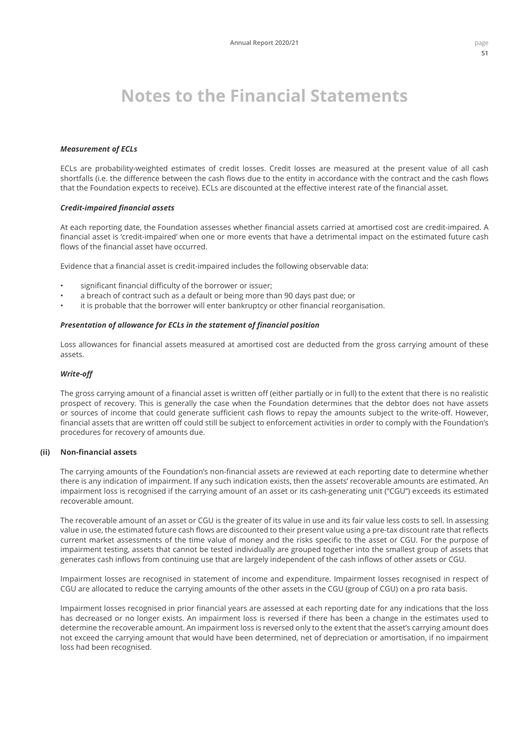#### *Measurement of ECLs*

ECLs are probability-weighted estimates of credit losses. Credit losses are measured at the present value of all cash shortfalls (i.e. the difference between the cash flows due to the entity in accordance with the contract and the cash flows that the Foundation expects to receive). ECLs are discounted at the effective interest rate of the financial asset.

#### *Credit-impaired financial assets*

At each reporting date, the Foundation assesses whether financial assets carried at amortised cost are credit-impaired. A financial asset is 'credit-impaired' when one or more events that have a detrimental impact on the estimated future cash flows of the financial asset have occurred.

Evidence that a financial asset is credit-impaired includes the following observable data:

- significant financial difficulty of the borrower or issuer;
- a breach of contract such as a default or being more than 90 days past due; or
- it is probable that the borrower will enter bankruptcy or other financial reorganisation.

#### *Presentation of allowance for ECLs in the statement of financial position*

Loss allowances for financial assets measured at amortised cost are deducted from the gross carrying amount of these assets.

#### *Write-off*

The gross carrying amount of a financial asset is written off (either partially or in full) to the extent that there is no realistic prospect of recovery. This is generally the case when the Foundation determines that the debtor does not have assets or sources of income that could generate sufficient cash flows to repay the amounts subject to the write-off. However, financial assets that are written off could still be subject to enforcement activities in order to comply with the Foundation's procedures for recovery of amounts due.

#### **(ii) Non-financial assets**

The carrying amounts of the Foundation's non-financial assets are reviewed at each reporting date to determine whether there is any indication of impairment. If any such indication exists, then the assets' recoverable amounts are estimated. An impairment loss is recognised if the carrying amount of an asset or its cash-generating unit ("CGU") exceeds its estimated recoverable amount.

The recoverable amount of an asset or CGU is the greater of its value in use and its fair value less costs to sell. In assessing value in use, the estimated future cash flows are discounted to their present value using a pre-tax discount rate that reflects current market assessments of the time value of money and the risks specific to the asset or CGU. For the purpose of impairment testing, assets that cannot be tested individually are grouped together into the smallest group of assets that generates cash inflows from continuing use that are largely independent of the cash inflows of other assets or CGU.

Impairment losses are recognised in statement of income and expenditure. Impairment losses recognised in respect of CGU are allocated to reduce the carrying amounts of the other assets in the CGU (group of CGU) on a pro rata basis.

Impairment losses recognised in prior financial years are assessed at each reporting date for any indications that the loss has decreased or no longer exists. An impairment loss is reversed if there has been a change in the estimates used to determine the recoverable amount. An impairment loss is reversed only to the extent that the asset's carrying amount does not exceed the carrying amount that would have been determined, net of depreciation or amortisation, if no impairment loss had been recognised.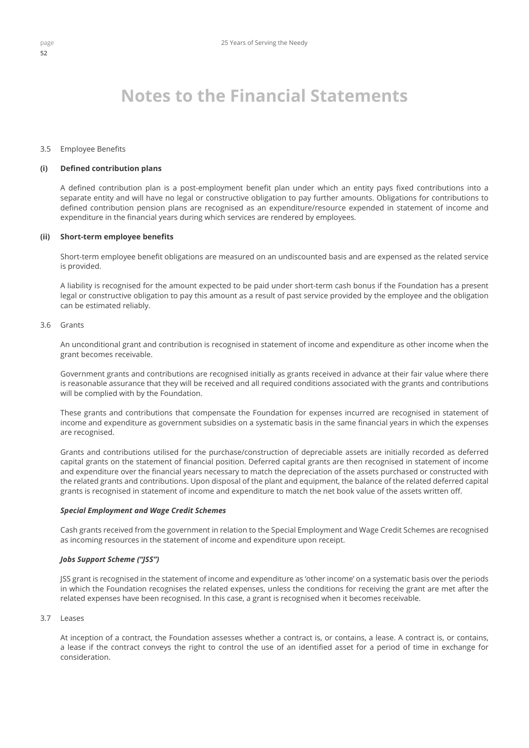#### 3.5 Employee Benefits

#### **(i) Defined contribution plans**

A defined contribution plan is a post-employment benefit plan under which an entity pays fixed contributions into a separate entity and will have no legal or constructive obligation to pay further amounts. Obligations for contributions to defined contribution pension plans are recognised as an expenditure/resource expended in statement of income and expenditure in the financial years during which services are rendered by employees.

#### **(ii) Short-term employee benefits**

Short-term employee benefit obligations are measured on an undiscounted basis and are expensed as the related service is provided.

A liability is recognised for the amount expected to be paid under short-term cash bonus if the Foundation has a present legal or constructive obligation to pay this amount as a result of past service provided by the employee and the obligation can be estimated reliably.

## 3.6 Grants

An unconditional grant and contribution is recognised in statement of income and expenditure as other income when the grant becomes receivable.

Government grants and contributions are recognised initially as grants received in advance at their fair value where there is reasonable assurance that they will be received and all required conditions associated with the grants and contributions will be complied with by the Foundation.

These grants and contributions that compensate the Foundation for expenses incurred are recognised in statement of income and expenditure as government subsidies on a systematic basis in the same financial years in which the expenses are recognised.

Grants and contributions utilised for the purchase/construction of depreciable assets are initially recorded as deferred capital grants on the statement of financial position. Deferred capital grants are then recognised in statement of income and expenditure over the financial years necessary to match the depreciation of the assets purchased or constructed with the related grants and contributions. Upon disposal of the plant and equipment, the balance of the related deferred capital grants is recognised in statement of income and expenditure to match the net book value of the assets written off.

#### *Special Employment and Wage Credit Schemes*

Cash grants received from the government in relation to the Special Employment and Wage Credit Schemes are recognised as incoming resources in the statement of income and expenditure upon receipt.

### *Jobs Support Scheme ("JSS")*

JSS grant is recognised in the statement of income and expenditure as 'other income' on a systematic basis over the periods in which the Foundation recognises the related expenses, unless the conditions for receiving the grant are met after the related expenses have been recognised. In this case, a grant is recognised when it becomes receivable.

#### 3.7 Leases

At inception of a contract, the Foundation assesses whether a contract is, or contains, a lease. A contract is, or contains, a lease if the contract conveys the right to control the use of an identified asset for a period of time in exchange for consideration.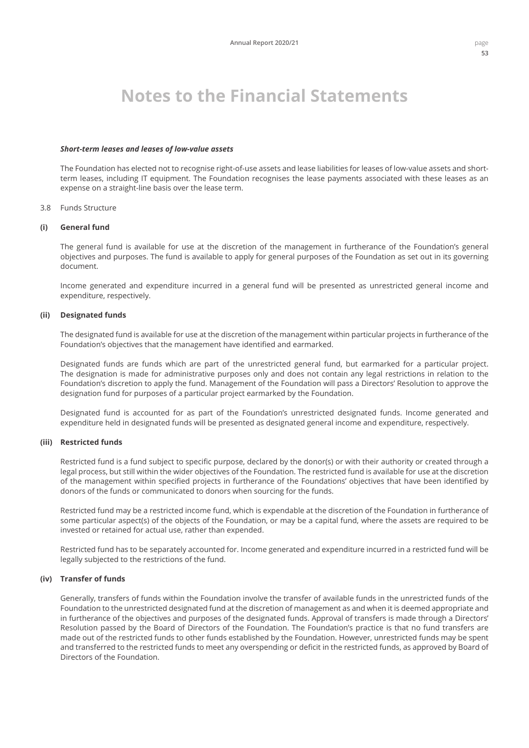#### *Short-term leases and leases of low-value assets*

The Foundation has elected not to recognise right-of-use assets and lease liabilities for leases of low-value assets and shortterm leases, including IT equipment. The Foundation recognises the lease payments associated with these leases as an expense on a straight-line basis over the lease term.

#### 3.8 Funds Structure

#### **(i) General fund**

The general fund is available for use at the discretion of the management in furtherance of the Foundation's general objectives and purposes. The fund is available to apply for general purposes of the Foundation as set out in its governing document.

Income generated and expenditure incurred in a general fund will be presented as unrestricted general income and expenditure, respectively.

## **(ii) Designated funds**

The designated fund is available for use at the discretion of the management within particular projects in furtherance of the Foundation's objectives that the management have identified and earmarked.

Designated funds are funds which are part of the unrestricted general fund, but earmarked for a particular project. The designation is made for administrative purposes only and does not contain any legal restrictions in relation to the Foundation's discretion to apply the fund. Management of the Foundation will pass a Directors' Resolution to approve the designation fund for purposes of a particular project earmarked by the Foundation.

Designated fund is accounted for as part of the Foundation's unrestricted designated funds. Income generated and expenditure held in designated funds will be presented as designated general income and expenditure, respectively.

## **(iii) Restricted funds**

Restricted fund is a fund subject to specific purpose, declared by the donor(s) or with their authority or created through a legal process, but still within the wider objectives of the Foundation. The restricted fund is available for use at the discretion of the management within specified projects in furtherance of the Foundations' objectives that have been identified by donors of the funds or communicated to donors when sourcing for the funds.

Restricted fund may be a restricted income fund, which is expendable at the discretion of the Foundation in furtherance of some particular aspect(s) of the objects of the Foundation, or may be a capital fund, where the assets are required to be invested or retained for actual use, rather than expended.

Restricted fund has to be separately accounted for. Income generated and expenditure incurred in a restricted fund will be legally subjected to the restrictions of the fund.

### **(iv) Transfer of funds**

Generally, transfers of funds within the Foundation involve the transfer of available funds in the unrestricted funds of the Foundation to the unrestricted designated fund at the discretion of management as and when it is deemed appropriate and in furtherance of the objectives and purposes of the designated funds. Approval of transfers is made through a Directors' Resolution passed by the Board of Directors of the Foundation. The Foundation's practice is that no fund transfers are made out of the restricted funds to other funds established by the Foundation. However, unrestricted funds may be spent and transferred to the restricted funds to meet any overspending or deficit in the restricted funds, as approved by Board of Directors of the Foundation.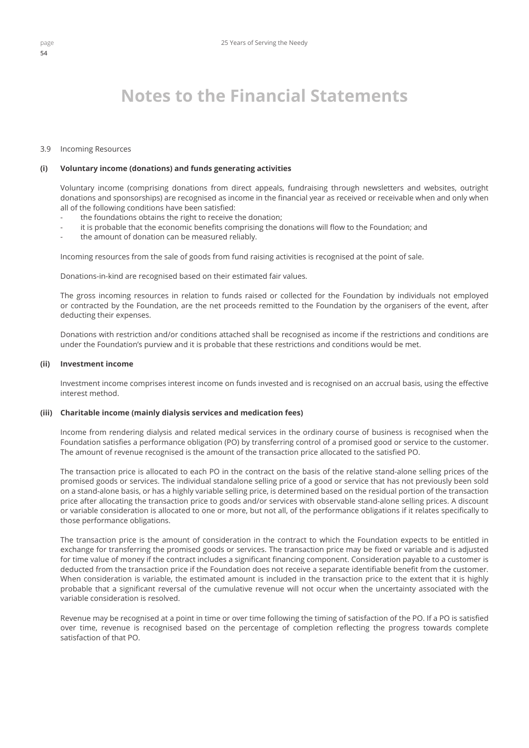#### 3.9 Incoming Resources

#### **(i) Voluntary income (donations) and funds generating activities**

Voluntary income (comprising donations from direct appeals, fundraising through newsletters and websites, outright donations and sponsorships) are recognised as income in the financial year as received or receivable when and only when all of the following conditions have been satisfied:

- the foundations obtains the right to receive the donation;
- it is probable that the economic benefits comprising the donations will flow to the Foundation; and
- the amount of donation can be measured reliably.

Incoming resources from the sale of goods from fund raising activities is recognised at the point of sale.

Donations-in-kind are recognised based on their estimated fair values.

The gross incoming resources in relation to funds raised or collected for the Foundation by individuals not employed or contracted by the Foundation, are the net proceeds remitted to the Foundation by the organisers of the event, after deducting their expenses.

Donations with restriction and/or conditions attached shall be recognised as income if the restrictions and conditions are under the Foundation's purview and it is probable that these restrictions and conditions would be met.

### **(ii) Investment income**

Investment income comprises interest income on funds invested and is recognised on an accrual basis, using the effective interest method.

#### **(iii) Charitable income (mainly dialysis services and medication fees)**

Income from rendering dialysis and related medical services in the ordinary course of business is recognised when the Foundation satisfies a performance obligation (PO) by transferring control of a promised good or service to the customer. The amount of revenue recognised is the amount of the transaction price allocated to the satisfied PO.

The transaction price is allocated to each PO in the contract on the basis of the relative stand-alone selling prices of the promised goods or services. The individual standalone selling price of a good or service that has not previously been sold on a stand-alone basis, or has a highly variable selling price, is determined based on the residual portion of the transaction price after allocating the transaction price to goods and/or services with observable stand-alone selling prices. A discount or variable consideration is allocated to one or more, but not all, of the performance obligations if it relates specifically to those performance obligations.

The transaction price is the amount of consideration in the contract to which the Foundation expects to be entitled in exchange for transferring the promised goods or services. The transaction price may be fixed or variable and is adjusted for time value of money if the contract includes a significant financing component. Consideration payable to a customer is deducted from the transaction price if the Foundation does not receive a separate identifiable benefit from the customer. When consideration is variable, the estimated amount is included in the transaction price to the extent that it is highly probable that a significant reversal of the cumulative revenue will not occur when the uncertainty associated with the variable consideration is resolved.

Revenue may be recognised at a point in time or over time following the timing of satisfaction of the PO. If a PO is satisfied over time, revenue is recognised based on the percentage of completion reflecting the progress towards complete satisfaction of that PO.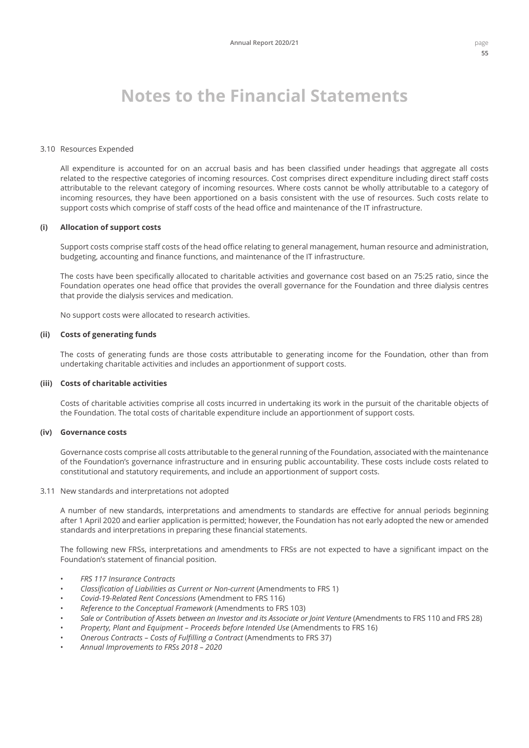#### 3.10 Resources Expended

All expenditure is accounted for on an accrual basis and has been classified under headings that aggregate all costs related to the respective categories of incoming resources. Cost comprises direct expenditure including direct staff costs attributable to the relevant category of incoming resources. Where costs cannot be wholly attributable to a category of incoming resources, they have been apportioned on a basis consistent with the use of resources. Such costs relate to support costs which comprise of staff costs of the head office and maintenance of the IT infrastructure.

#### **(i) Allocation of support costs**

Support costs comprise staff costs of the head office relating to general management, human resource and administration, budgeting, accounting and finance functions, and maintenance of the IT infrastructure.

The costs have been specifically allocated to charitable activities and governance cost based on an 75:25 ratio, since the Foundation operates one head office that provides the overall governance for the Foundation and three dialysis centres that provide the dialysis services and medication.

No support costs were allocated to research activities.

#### **(ii) Costs of generating funds**

The costs of generating funds are those costs attributable to generating income for the Foundation, other than from undertaking charitable activities and includes an apportionment of support costs.

#### **(iii) Costs of charitable activities**

Costs of charitable activities comprise all costs incurred in undertaking its work in the pursuit of the charitable objects of the Foundation. The total costs of charitable expenditure include an apportionment of support costs.

#### **(iv) Governance costs**

Governance costs comprise all costs attributable to the general running of the Foundation, associated with the maintenance of the Foundation's governance infrastructure and in ensuring public accountability. These costs include costs related to constitutional and statutory requirements, and include an apportionment of support costs.

#### 3.11 New standards and interpretations not adopted

A number of new standards, interpretations and amendments to standards are effective for annual periods beginning after 1 April 2020 and earlier application is permitted; however, the Foundation has not early adopted the new or amended standards and interpretations in preparing these financial statements.

The following new FRSs, interpretations and amendments to FRSs are not expected to have a significant impact on the Foundation's statement of financial position.

- *FRS 117 Insurance Contracts*
- *Classification of Liabilities as Current or Non-current* (Amendments to FRS 1)
- *Covid-19-Related Rent Concessions* (Amendment to FRS 116)
- *Reference to the Conceptual Framework* (Amendments to FRS 103)
- *Sale or Contribution of Assets between an Investor and its Associate or Joint Venture* (Amendments to FRS 110 and FRS 28)
- *Property, Plant and Equipment Proceeds before Intended Use* (Amendments to FRS 16)
- *Onerous Contracts Costs of Fulfilling a Contract* (Amendments to FRS 37)
- *Annual Improvements to FRSs 2018 2020*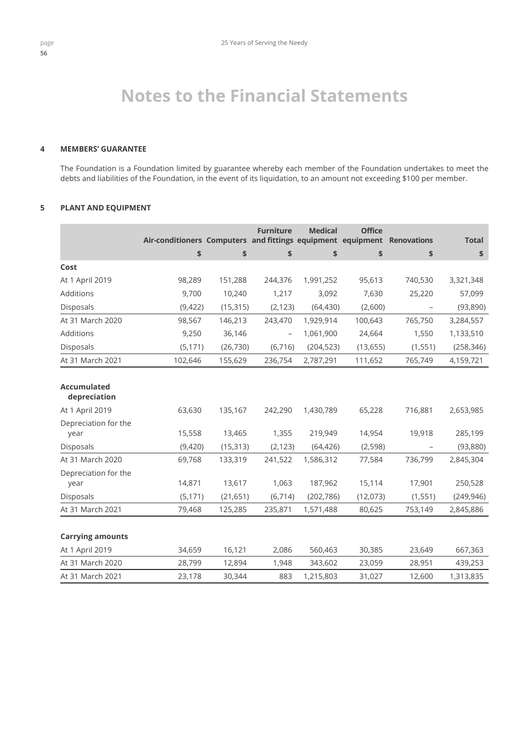#### **4 MEMBERS' GUARANTEE**

The Foundation is a Foundation limited by guarantee whereby each member of the Foundation undertakes to meet the debts and liabilities of the Foundation, in the event of its liquidation, to an amount not exceeding \$100 per member.

## **5 PLANT AND EQUIPMENT**

|                                    | Air-conditioners Computers and fittings equipment equipment |                    | <b>Furniture</b>         | <b>Medical</b> | <b>Office</b> | <b>Renovations</b> | <b>Total</b> |
|------------------------------------|-------------------------------------------------------------|--------------------|--------------------------|----------------|---------------|--------------------|--------------|
|                                    | \$                                                          | $\pmb{\mathsf{S}}$ | \$                       | \$             | \$            | \$                 | \$           |
| Cost                               |                                                             |                    |                          |                |               |                    |              |
| At 1 April 2019                    | 98,289                                                      | 151,288            | 244,376                  | 1,991,252      | 95,613        | 740,530            | 3,321,348    |
| Additions                          | 9.700                                                       | 10,240             | 1,217                    | 3,092          | 7,630         | 25,220             | 57,099       |
| Disposals                          | (9,422)                                                     | (15, 315)          | (2, 123)                 | (64, 430)      | (2,600)       |                    | (93, 890)    |
| At 31 March 2020                   | 98,567                                                      | 146,213            | 243,470                  | 1,929,914      | 100,643       | 765,750            | 3,284,557    |
| Additions                          | 9,250                                                       | 36,146             | $\overline{\phantom{0}}$ | 1,061,900      | 24,664        | 1,550              | 1,133,510    |
| Disposals                          | (5, 171)                                                    | (26, 730)          | (6, 716)                 | (204, 523)     | (13, 655)     | (1, 551)           | (258, 346)   |
| At 31 March 2021                   | 102,646                                                     | 155,629            | 236,754                  | 2,787,291      | 111,652       | 765,749            | 4,159,721    |
| <b>Accumulated</b><br>depreciation |                                                             |                    |                          |                |               |                    |              |
| At 1 April 2019                    | 63,630                                                      | 135,167            | 242,290                  | 1,430,789      | 65,228        | 716,881            | 2,653,985    |
| Depreciation for the<br>year       | 15,558                                                      | 13,465             | 1,355                    | 219,949        | 14,954        | 19,918             | 285,199      |
| Disposals                          | (9,420)                                                     | (15, 313)          | (2, 123)                 | (64, 426)      | (2, 598)      |                    | (93,880)     |
| At 31 March 2020                   | 69,768                                                      | 133,319            | 241,522                  | 1,586,312      | 77,584        | 736,799            | 2,845,304    |
| Depreciation for the<br>year       | 14,871                                                      | 13,617             | 1,063                    | 187,962        | 15,114        | 17,901             | 250,528      |
| Disposals                          | (5, 171)                                                    | (21, 651)          | (6, 714)                 | (202, 786)     | (12,073)      | (1, 551)           | (249, 946)   |
| At 31 March 2021                   | 79,468                                                      | 125,285            | 235,871                  | 1,571,488      | 80,625        | 753,149            | 2,845,886    |
| <b>Carrying amounts</b>            |                                                             |                    |                          |                |               |                    |              |
| At 1 April 2019                    | 34,659                                                      | 16,121             | 2,086                    | 560,463        | 30,385        | 23,649             | 667,363      |
| At 31 March 2020                   | 28,799                                                      | 12,894             | 1,948                    | 343,602        | 23,059        | 28,951             | 439,253      |
| At 31 March 2021                   | 23,178                                                      | 30,344             | 883                      | 1,215,803      | 31,027        | 12,600             | 1,313,835    |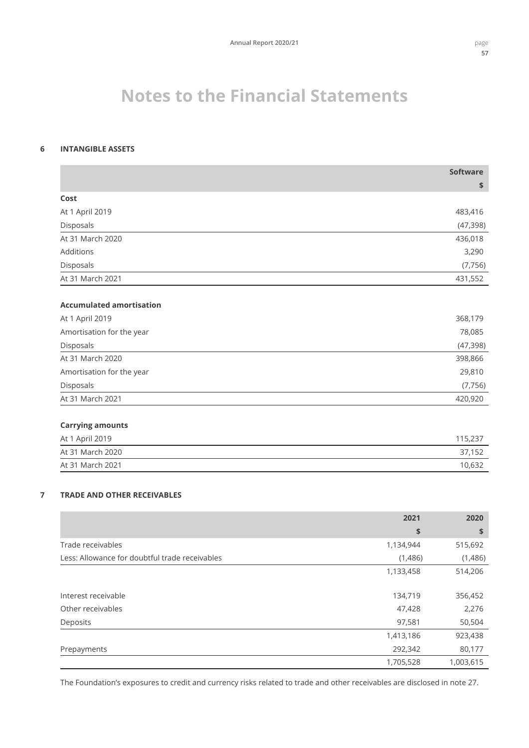## **6 INTANGIBLE ASSETS**

|                                 | <b>Software</b> |
|---------------------------------|-----------------|
|                                 | \$              |
| Cost                            |                 |
| At 1 April 2019                 | 483,416         |
| Disposals                       | (47, 398)       |
| At 31 March 2020                | 436,018         |
| Additions                       | 3,290           |
| Disposals                       | (7, 756)        |
| At 31 March 2021                | 431,552         |
|                                 |                 |
| <b>Accumulated amortisation</b> |                 |
| At 1 April 2019                 | 368,179         |
| Amortisation for the year       | 78,085          |
| Disposals                       | (47, 398)       |
| At 31 March 2020                | 398,866         |
| Amortisation for the year       | 29,810          |
| Disposals                       | (7, 756)        |
| At 31 March 2021                | 420,920         |
|                                 |                 |
| <b>Carrying amounts</b>         |                 |
| At 1 April 2019                 | 115,237         |
| At 31 March 2020                | 37,152          |
| At 31 March 2021                | 10,632          |
|                                 |                 |

## **7 TRADE AND OTHER RECEIVABLES**

|                                                | 2021      | 2020      |
|------------------------------------------------|-----------|-----------|
|                                                | \$        | \$        |
| Trade receivables                              | 1,134,944 | 515,692   |
| Less: Allowance for doubtful trade receivables | (1,486)   | (1,486)   |
|                                                | 1,133,458 | 514,206   |
|                                                |           |           |
| Interest receivable                            | 134,719   | 356,452   |
| Other receivables                              | 47,428    | 2,276     |
| Deposits                                       | 97,581    | 50,504    |
|                                                | 1,413,186 | 923,438   |
| Prepayments                                    | 292,342   | 80,177    |
|                                                | 1,705,528 | 1,003,615 |

The Foundation's exposures to credit and currency risks related to trade and other receivables are disclosed in note 27.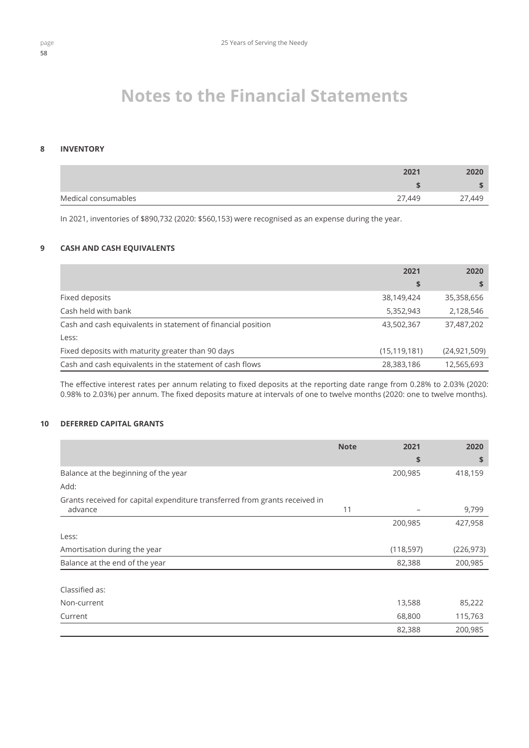### **8 INVENTORY**

| 2021                          | 2020   |
|-------------------------------|--------|
|                               |        |
| Medical consumables<br>27,449 | 27,449 |

In 2021, inventories of \$890,732 (2020: \$560,153) were recognised as an expense during the year.

## **9 CASH AND CASH EQUIVALENTS**

|                                                              | 2021           | 2020           |
|--------------------------------------------------------------|----------------|----------------|
|                                                              | \$             |                |
| Fixed deposits                                               | 38,149,424     | 35,358,656     |
| Cash held with bank                                          | 5,352,943      | 2,128,546      |
| Cash and cash equivalents in statement of financial position | 43,502,367     | 37,487,202     |
| Less:                                                        |                |                |
| Fixed deposits with maturity greater than 90 days            | (15, 119, 181) | (24, 921, 509) |
| Cash and cash equivalents in the statement of cash flows     | 28,383,186     | 12,565,693     |

The effective interest rates per annum relating to fixed deposits at the reporting date range from 0.28% to 2.03% (2020: 0.98% to 2.03%) per annum. The fixed deposits mature at intervals of one to twelve months (2020: one to twelve months).

## **10 DEFERRED CAPITAL GRANTS**

|                                                                                        | <b>Note</b> | 2021       | 2020       |
|----------------------------------------------------------------------------------------|-------------|------------|------------|
|                                                                                        |             | \$         | \$         |
| Balance at the beginning of the year                                                   |             | 200,985    | 418,159    |
| Add:                                                                                   |             |            |            |
| Grants received for capital expenditure transferred from grants received in<br>advance | 11          |            | 9,799      |
|                                                                                        |             | 200,985    | 427,958    |
| Less:                                                                                  |             |            |            |
| Amortisation during the year                                                           |             | (118, 597) | (226, 973) |
| Balance at the end of the year                                                         |             | 82,388     | 200,985    |
| Classified as:                                                                         |             |            |            |
| Non-current                                                                            |             | 13,588     | 85,222     |
| Current                                                                                |             | 68,800     | 115,763    |
|                                                                                        |             | 82,388     | 200,985    |
|                                                                                        |             |            |            |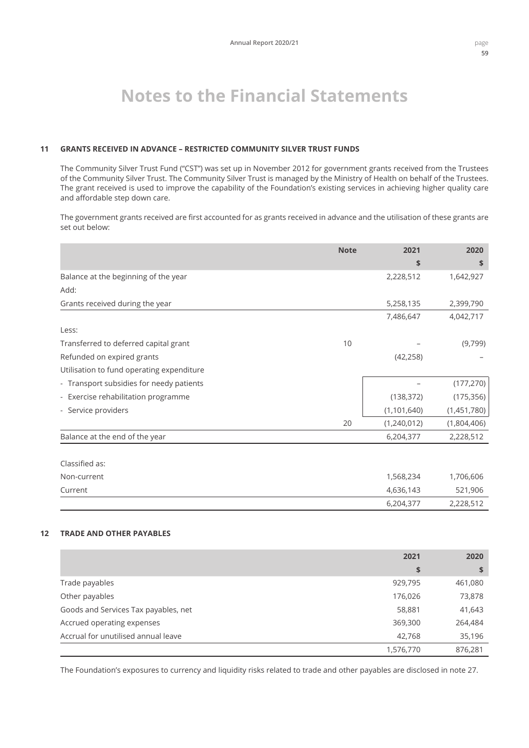### **11 GRANTS RECEIVED IN ADVANCE – RESTRICTED COMMUNITY SILVER TRUST FUNDS**

The Community Silver Trust Fund ("CST") was set up in November 2012 for government grants received from the Trustees of the Community Silver Trust. The Community Silver Trust is managed by the Ministry of Health on behalf of the Trustees. The grant received is used to improve the capability of the Foundation's existing services in achieving higher quality care and affordable step down care.

The government grants received are first accounted for as grants received in advance and the utilisation of these grants are set out below:

|                                           | <b>Note</b> | 2021          | 2020        |
|-------------------------------------------|-------------|---------------|-------------|
|                                           |             | \$            | \$          |
| Balance at the beginning of the year      |             | 2,228,512     | 1,642,927   |
| Add:                                      |             |               |             |
| Grants received during the year           |             | 5,258,135     | 2,399,790   |
|                                           |             | 7,486,647     | 4,042,717   |
| Less:                                     |             |               |             |
| Transferred to deferred capital grant     | 10          |               | (9,799)     |
| Refunded on expired grants                |             | (42, 258)     |             |
| Utilisation to fund operating expenditure |             |               |             |
| - Transport subsidies for needy patients  |             |               | (177, 270)  |
| - Exercise rehabilitation programme       |             | (138, 372)    | (175, 356)  |
| - Service providers                       |             | (1, 101, 640) | (1,451,780) |
|                                           | 20          | (1,240,012)   | (1,804,406) |
| Balance at the end of the year            |             | 6,204,377     | 2,228,512   |
|                                           |             |               |             |
| Classified as:                            |             |               |             |
| Non-current                               |             | 1,568,234     | 1,706,606   |
| Current                                   |             | 4,636,143     | 521,906     |
|                                           |             | 6,204,377     | 2,228,512   |

## **12 TRADE AND OTHER PAYABLES**

|                                      | 2021      | 2020    |
|--------------------------------------|-----------|---------|
|                                      | \$        | ₽       |
| Trade payables                       | 929,795   | 461,080 |
| Other payables                       | 176,026   | 73,878  |
| Goods and Services Tax payables, net | 58,881    | 41,643  |
| Accrued operating expenses           | 369,300   | 264,484 |
| Accrual for unutilised annual leave  | 42,768    | 35,196  |
|                                      | 1,576,770 | 876,281 |

The Foundation's exposures to currency and liquidity risks related to trade and other payables are disclosed in note 27.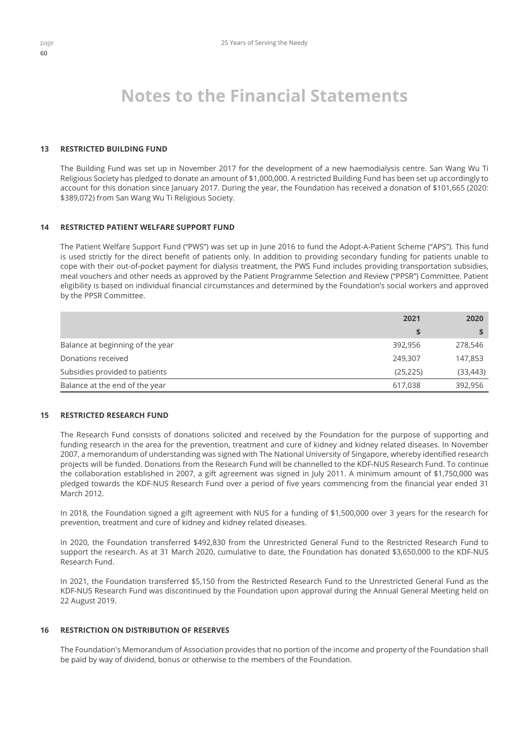#### **13 RESTRICTED BUILDING FUND**

The Building Fund was set up in November 2017 for the development of a new haemodialysis centre. San Wang Wu Ti Religious Society has pledged to donate an amount of \$1,000,000. A restricted Building Fund has been set up accordingly to account for this donation since January 2017. During the year, the Foundation has received a donation of \$101,665 (2020: \$389,072) from San Wang Wu Ti Religious Society.

#### **14 RESTRICTED PATIENT WELFARE SUPPORT FUND**

The Patient Welfare Support Fund ("PWS") was set up in June 2016 to fund the Adopt-A-Patient Scheme ("APS"). This fund is used strictly for the direct benefit of patients only. In addition to providing secondary funding for patients unable to cope with their out-of-pocket payment for dialysis treatment, the PWS Fund includes providing transportation subsidies, meal vouchers and other needs as approved by the Patient Programme Selection and Review ("PPSR") Committee. Patient eligibility is based on individual financial circumstances and determined by the Foundation's social workers and approved by the PPSR Committee.

|                                  | 2021      | 2020      |
|----------------------------------|-----------|-----------|
|                                  | S         |           |
| Balance at beginning of the year | 392,956   | 278,546   |
| Donations received               | 249,307   | 147,853   |
| Subsidies provided to patients   | (25, 225) | (33, 443) |
| Balance at the end of the year   | 617,038   | 392,956   |

### **15 RESTRICTED RESEARCH FUND**

The Research Fund consists of donations solicited and received by the Foundation for the purpose of supporting and funding research in the area for the prevention, treatment and cure of kidney and kidney related diseases. In November 2007, a memorandum of understanding was signed with The National University of Singapore, whereby identified research projects will be funded. Donations from the Research Fund will be channelled to the KDF-NUS Research Fund. To continue the collaboration established in 2007, a gift agreement was signed in July 2011. A minimum amount of \$1,750,000 was pledged towards the KDF-NUS Research Fund over a period of five years commencing from the financial year ended 31 March 2012.

In 2018, the Foundation signed a gift agreement with NUS for a funding of \$1,500,000 over 3 years for the research for prevention, treatment and cure of kidney and kidney related diseases.

In 2020, the Foundation transferred \$492,830 from the Unrestricted General Fund to the Restricted Research Fund to support the research. As at 31 March 2020, cumulative to date, the Foundation has donated \$3,650,000 to the KDF-NUS Research Fund.

In 2021, the Foundation transferred \$5,150 from the Restricted Research Fund to the Unrestricted General Fund as the KDF-NUS Research Fund was discontinued by the Foundation upon approval during the Annual General Meeting held on 22 August 2019.

### **16 RESTRICTION ON DISTRIBUTION OF RESERVES**

The Foundation's Memorandum of Association provides that no portion of the income and property of the Foundation shall be paid by way of dividend, bonus or otherwise to the members of the Foundation.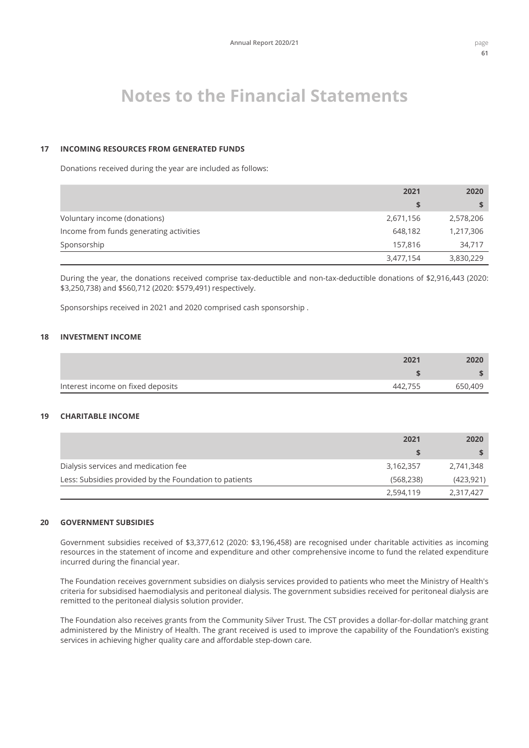#### **17 INCOMING RESOURCES FROM GENERATED FUNDS**

Donations received during the year are included as follows:

|                                         | 2021      | 2020      |
|-----------------------------------------|-----------|-----------|
|                                         | S         |           |
| Voluntary income (donations)            | 2,671,156 | 2,578,206 |
| Income from funds generating activities | 648,182   | 1,217,306 |
| Sponsorship                             | 157.816   | 34,717    |
|                                         | 3,477,154 | 3,830,229 |

During the year, the donations received comprise tax-deductible and non-tax-deductible donations of \$2,916,443 (2020: \$3,250,738) and \$560,712 (2020: \$579,491) respectively.

Sponsorships received in 2021 and 2020 comprised cash sponsorship .

## **18 INVESTMENT INCOME**

|                                   |         | 2020    |
|-----------------------------------|---------|---------|
|                                   |         |         |
| Interest income on fixed deposits | 442.755 | 650,409 |

### **19 CHARITABLE INCOME**

|                                                        | 2021       | 2020       |
|--------------------------------------------------------|------------|------------|
|                                                        |            |            |
| Dialysis services and medication fee                   | 3,162,357  | 2,741,348  |
| Less: Subsidies provided by the Foundation to patients | (568, 238) | (423, 921) |
|                                                        | 2,594,119  | 2.317.427  |

#### **20 GOVERNMENT SUBSIDIES**

Government subsidies received of \$3,377,612 (2020: \$3,196,458) are recognised under charitable activities as incoming resources in the statement of income and expenditure and other comprehensive income to fund the related expenditure incurred during the financial year.

The Foundation receives government subsidies on dialysis services provided to patients who meet the Ministry of Health's criteria for subsidised haemodialysis and peritoneal dialysis. The government subsidies received for peritoneal dialysis are remitted to the peritoneal dialysis solution provider.

The Foundation also receives grants from the Community Silver Trust. The CST provides a dollar-for-dollar matching grant administered by the Ministry of Health. The grant received is used to improve the capability of the Foundation's existing services in achieving higher quality care and affordable step-down care.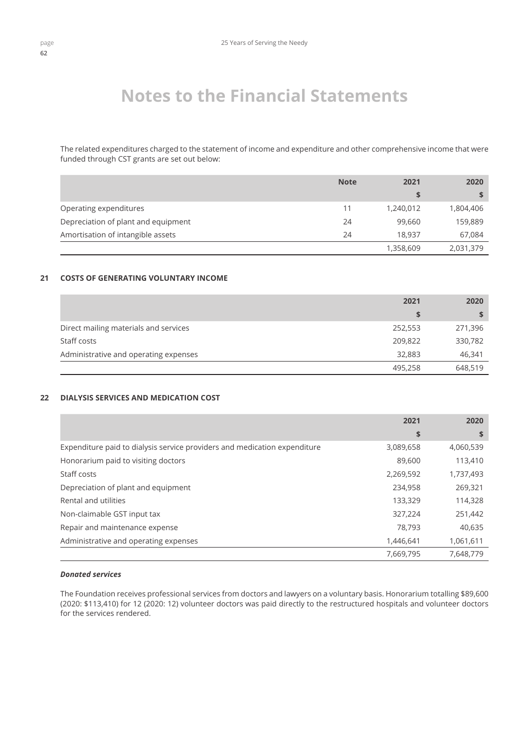The related expenditures charged to the statement of income and expenditure and other comprehensive income that were funded through CST grants are set out below:

|                                     | <b>Note</b> | 2021      | 2020      |
|-------------------------------------|-------------|-----------|-----------|
|                                     |             |           |           |
| Operating expenditures              | 11          | 1,240,012 | 1,804,406 |
| Depreciation of plant and equipment | 24          | 99,660    | 159,889   |
| Amortisation of intangible assets   | 24          | 18,937    | 67,084    |
|                                     |             | 1,358,609 | 2,031,379 |

## **21 COSTS OF GENERATING VOLUNTARY INCOME**

|                                       | 2021    | 2020    |
|---------------------------------------|---------|---------|
|                                       | S       |         |
| Direct mailing materials and services | 252,553 | 271,396 |
| Staff costs                           | 209,822 | 330,782 |
| Administrative and operating expenses | 32,883  | 46,341  |
|                                       | 495,258 | 648,519 |

## **22 DIALYSIS SERVICES AND MEDICATION COST**

|                                                                           | 2021      | 2020      |
|---------------------------------------------------------------------------|-----------|-----------|
|                                                                           | \$        | \$        |
| Expenditure paid to dialysis service providers and medication expenditure | 3,089,658 | 4,060,539 |
| Honorarium paid to visiting doctors                                       | 89,600    | 113,410   |
| Staff costs                                                               | 2,269,592 | 1,737,493 |
| Depreciation of plant and equipment                                       | 234,958   | 269,321   |
| Rental and utilities                                                      | 133,329   | 114,328   |
| Non-claimable GST input tax                                               | 327,224   | 251,442   |
| Repair and maintenance expense                                            | 78,793    | 40,635    |
| Administrative and operating expenses                                     | 1,446,641 | 1,061,611 |
|                                                                           | 7,669,795 | 7.648.779 |

## *Donated services*

The Foundation receives professional services from doctors and lawyers on a voluntary basis. Honorarium totalling \$89,600 (2020: \$113,410) for 12 (2020: 12) volunteer doctors was paid directly to the restructured hospitals and volunteer doctors for the services rendered.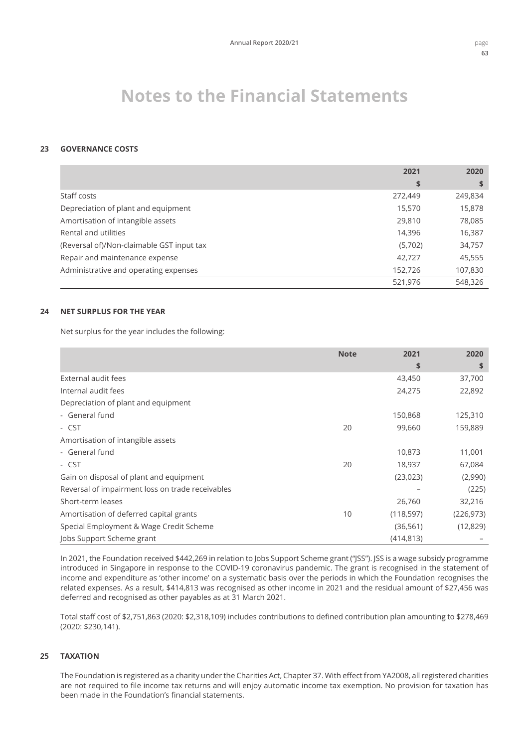#### **23 GOVERNANCE COSTS**

|                                           | 2021    | 2020    |
|-------------------------------------------|---------|---------|
|                                           | \$      | \$      |
| Staff costs                               | 272,449 | 249,834 |
| Depreciation of plant and equipment       | 15,570  | 15,878  |
| Amortisation of intangible assets         | 29,810  | 78,085  |
| Rental and utilities                      | 14,396  | 16,387  |
| (Reversal of)/Non-claimable GST input tax | (5,702) | 34,757  |
| Repair and maintenance expense            | 42,727  | 45,555  |
| Administrative and operating expenses     | 152,726 | 107,830 |
|                                           | 521,976 | 548,326 |

### **24 NET SURPLUS FOR THE YEAR**

Net surplus for the year includes the following:

|                                                  | <b>Note</b> | 2021       | 2020       |
|--------------------------------------------------|-------------|------------|------------|
|                                                  |             | \$         | \$         |
| External audit fees                              |             | 43,450     | 37,700     |
| Internal audit fees                              |             | 24,275     | 22,892     |
| Depreciation of plant and equipment              |             |            |            |
| - General fund                                   |             | 150,868    | 125,310    |
| - CST                                            | 20          | 99,660     | 159,889    |
| Amortisation of intangible assets                |             |            |            |
| - General fund                                   |             | 10,873     | 11,001     |
| - CST                                            | 20          | 18,937     | 67,084     |
| Gain on disposal of plant and equipment          |             | (23, 023)  | (2,990)    |
| Reversal of impairment loss on trade receivables |             |            | (225)      |
| Short-term leases                                |             | 26,760     | 32,216     |
| Amortisation of deferred capital grants          | 10          | (118, 597) | (226, 973) |
| Special Employment & Wage Credit Scheme          |             | (36, 561)  | (12, 829)  |
| Jobs Support Scheme grant                        |             | (414, 813) |            |

In 2021, the Foundation received \$442,269 in relation to Jobs Support Scheme grant ("JSS"). JSS is a wage subsidy programme introduced in Singapore in response to the COVID-19 coronavirus pandemic. The grant is recognised in the statement of income and expenditure as 'other income' on a systematic basis over the periods in which the Foundation recognises the related expenses. As a result, \$414,813 was recognised as other income in 2021 and the residual amount of \$27,456 was deferred and recognised as other payables as at 31 March 2021.

Total staff cost of \$2,751,863 (2020: \$2,318,109) includes contributions to defined contribution plan amounting to \$278,469 (2020: \$230,141).

## **25 TAXATION**

The Foundation is registered as a charity under the Charities Act, Chapter 37. With effect from YA2008, all registered charities are not required to file income tax returns and will enjoy automatic income tax exemption. No provision for taxation has been made in the Foundation's financial statements.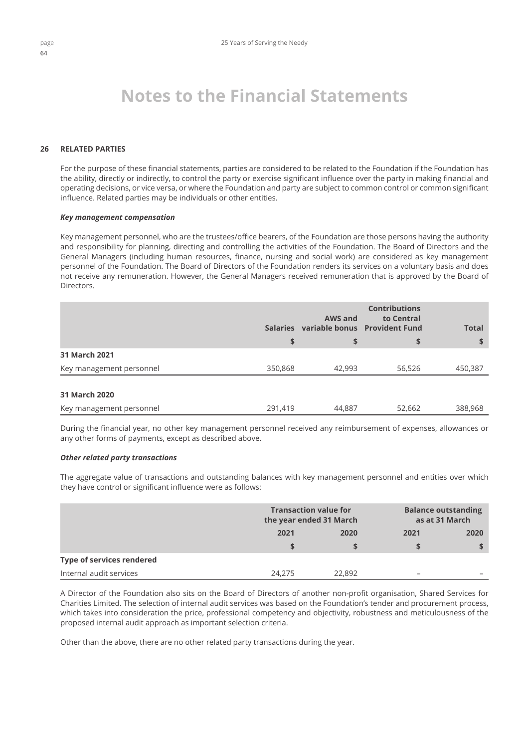#### **26 RELATED PARTIES**

For the purpose of these financial statements, parties are considered to be related to the Foundation if the Foundation has the ability, directly or indirectly, to control the party or exercise significant influence over the party in making financial and operating decisions, or vice versa, or where the Foundation and party are subject to common control or common significant influence. Related parties may be individuals or other entities.

#### *Key management compensation*

Key management personnel, who are the trustees/office bearers, of the Foundation are those persons having the authority and responsibility for planning, directing and controlling the activities of the Foundation. The Board of Directors and the General Managers (including human resources, finance, nursing and social work) are considered as key management personnel of the Foundation. The Board of Directors of the Foundation renders its services on a voluntary basis and does not receive any remuneration. However, the General Managers received remuneration that is approved by the Board of **Directors** 

|                          |         | <b>AWS and</b><br>Salaries variable bonus Provident Fund | <b>Contributions</b><br>to Central | <b>Total</b> |
|--------------------------|---------|----------------------------------------------------------|------------------------------------|--------------|
|                          | \$      | \$                                                       | \$                                 |              |
| 31 March 2021            |         |                                                          |                                    |              |
| Key management personnel | 350,868 | 42,993                                                   | 56,526                             | 450,387      |
| 31 March 2020            |         |                                                          |                                    |              |
| Key management personnel | 291,419 | 44,887                                                   | 52,662                             | 388,968      |

During the financial year, no other key management personnel received any reimbursement of expenses, allowances or any other forms of payments, except as described above.

#### *Other related party transactions*

The aggregate value of transactions and outstanding balances with key management personnel and entities over which they have control or significant influence were as follows:

|                           |          | <b>Transaction value for</b><br>the year ended 31 March |      | <b>Balance outstanding</b><br>as at 31 March |
|---------------------------|----------|---------------------------------------------------------|------|----------------------------------------------|
|                           | 2021     | 2020                                                    | 2021 | 2020                                         |
|                           | <b>S</b> |                                                         |      |                                              |
| Type of services rendered |          |                                                         |      |                                              |
| Internal audit services   | 24,275   | 22,892                                                  | -    | -                                            |

A Director of the Foundation also sits on the Board of Directors of another non-profit organisation, Shared Services for Charities Limited. The selection of internal audit services was based on the Foundation's tender and procurement process, which takes into consideration the price, professional competency and objectivity, robustness and meticulousness of the proposed internal audit approach as important selection criteria.

Other than the above, there are no other related party transactions during the year.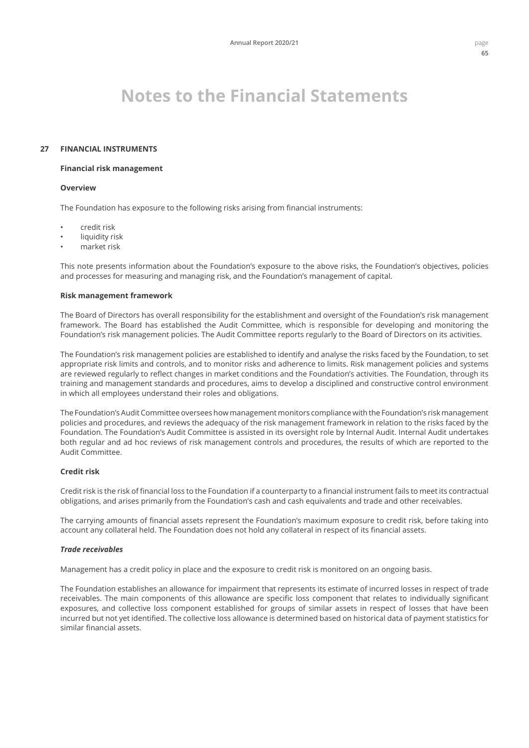#### **27 FINANCIAL INSTRUMENTS**

#### **Financial risk management**

#### **Overview**

The Foundation has exposure to the following risks arising from financial instruments:

- credit risk
- liquidity risk
- market risk

This note presents information about the Foundation's exposure to the above risks, the Foundation's objectives, policies and processes for measuring and managing risk, and the Foundation's management of capital.

#### **Risk management framework**

The Board of Directors has overall responsibility for the establishment and oversight of the Foundation's risk management framework. The Board has established the Audit Committee, which is responsible for developing and monitoring the Foundation's risk management policies. The Audit Committee reports regularly to the Board of Directors on its activities.

The Foundation's risk management policies are established to identify and analyse the risks faced by the Foundation, to set appropriate risk limits and controls, and to monitor risks and adherence to limits. Risk management policies and systems are reviewed regularly to reflect changes in market conditions and the Foundation's activities. The Foundation, through its training and management standards and procedures, aims to develop a disciplined and constructive control environment in which all employees understand their roles and obligations.

The Foundation's Audit Committee oversees how management monitors compliance with the Foundation's risk management policies and procedures, and reviews the adequacy of the risk management framework in relation to the risks faced by the Foundation. The Foundation's Audit Committee is assisted in its oversight role by Internal Audit. Internal Audit undertakes both regular and ad hoc reviews of risk management controls and procedures, the results of which are reported to the Audit Committee.

#### **Credit risk**

Credit risk is the risk of financial loss to the Foundation if a counterparty to a financial instrument fails to meet its contractual obligations, and arises primarily from the Foundation's cash and cash equivalents and trade and other receivables.

The carrying amounts of financial assets represent the Foundation's maximum exposure to credit risk, before taking into account any collateral held. The Foundation does not hold any collateral in respect of its financial assets.

#### *Trade receivables*

Management has a credit policy in place and the exposure to credit risk is monitored on an ongoing basis.

The Foundation establishes an allowance for impairment that represents its estimate of incurred losses in respect of trade receivables. The main components of this allowance are specific loss component that relates to individually significant exposures, and collective loss component established for groups of similar assets in respect of losses that have been incurred but not yet identified. The collective loss allowance is determined based on historical data of payment statistics for similar financial assets.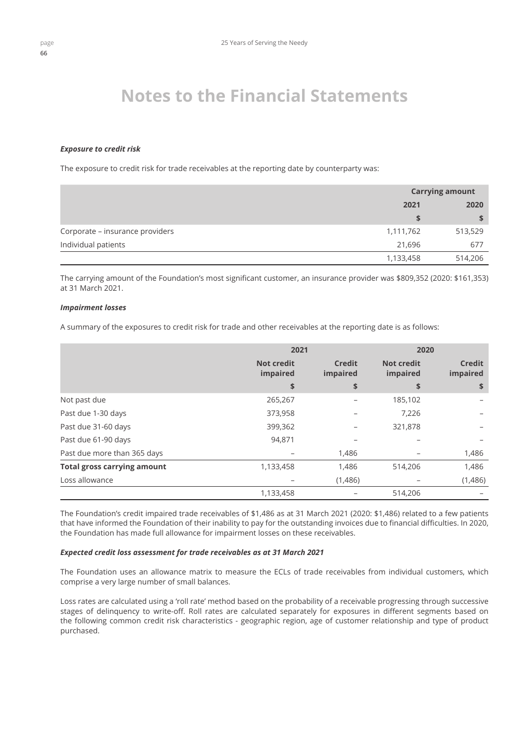#### *Exposure to credit risk*

The exposure to credit risk for trade receivables at the reporting date by counterparty was:

|                                 |           | <b>Carrying amount</b> |
|---------------------------------|-----------|------------------------|
|                                 | 2021      | 2020                   |
|                                 |           |                        |
| Corporate - insurance providers | 1,111,762 | 513,529                |
| Individual patients             | 21,696    | 677                    |
|                                 | 1,133,458 | 514,206                |

The carrying amount of the Foundation's most significant customer, an insurance provider was \$809,352 (2020: \$161,353) at 31 March 2021.

### *Impairment losses*

A summary of the exposures to credit risk for trade and other receivables at the reporting date is as follows:

|                                    |                               | 2021               |                               | 2020               |
|------------------------------------|-------------------------------|--------------------|-------------------------------|--------------------|
|                                    | <b>Not credit</b><br>impaired | Credit<br>impaired | <b>Not credit</b><br>impaired | Credit<br>impaired |
|                                    | \$                            | \$                 | \$                            | \$                 |
| Not past due                       | 265,267                       |                    | 185,102                       |                    |
| Past due 1-30 days                 | 373,958                       |                    | 7,226                         |                    |
| Past due 31-60 days                | 399,362                       |                    | 321,878                       |                    |
| Past due 61-90 days                | 94,871                        |                    |                               |                    |
| Past due more than 365 days        |                               | 1,486              |                               | 1,486              |
| <b>Total gross carrying amount</b> | 1,133,458                     | 1,486              | 514,206                       | 1,486              |
| Loss allowance                     |                               | (1,486)            |                               | (1,486)            |
|                                    | 1,133,458                     |                    | 514,206                       |                    |

The Foundation's credit impaired trade receivables of \$1,486 as at 31 March 2021 (2020: \$1,486) related to a few patients that have informed the Foundation of their inability to pay for the outstanding invoices due to financial difficulties. In 2020, the Foundation has made full allowance for impairment losses on these receivables.

#### *Expected credit loss assessment for trade receivables as at 31 March 2021*

The Foundation uses an allowance matrix to measure the ECLs of trade receivables from individual customers, which comprise a very large number of small balances.

Loss rates are calculated using a 'roll rate' method based on the probability of a receivable progressing through successive stages of delinquency to write-off. Roll rates are calculated separately for exposures in different segments based on the following common credit risk characteristics - geographic region, age of customer relationship and type of product purchased.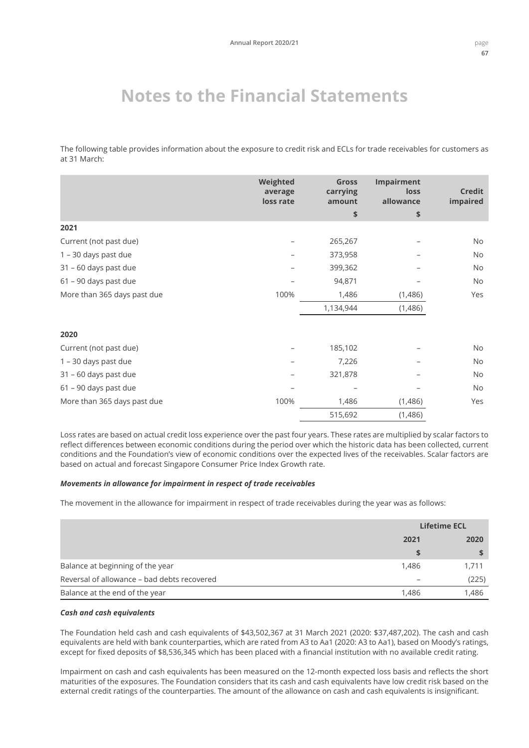The following table provides information about the exposure to credit risk and ECLs for trade receivables for customers as at 31 March:

|                             | Weighted<br>average<br>loss rate | Gross<br>carrying<br>amount<br>\$ | Impairment<br>loss<br>allowance<br>\$ | <b>Credit</b><br>impaired |
|-----------------------------|----------------------------------|-----------------------------------|---------------------------------------|---------------------------|
| 2021                        |                                  |                                   |                                       |                           |
| Current (not past due)      |                                  | 265,267                           |                                       | <b>No</b>                 |
| 1 - 30 days past due        |                                  | 373,958                           |                                       | <b>No</b>                 |
| 31 - 60 days past due       |                                  | 399,362                           |                                       | <b>No</b>                 |
| 61 - 90 days past due       |                                  | 94,871                            |                                       | No.                       |
| More than 365 days past due | 100%                             | 1,486                             | (1,486)                               | Yes                       |
|                             |                                  | 1,134,944                         | (1,486)                               |                           |
| 2020                        |                                  |                                   |                                       |                           |
| Current (not past due)      |                                  | 185,102                           |                                       | No.                       |
| 1 - 30 days past due        |                                  | 7,226                             |                                       | <b>No</b>                 |
| 31 - 60 days past due       |                                  | 321,878                           |                                       | No.                       |
| 61 - 90 days past due       |                                  |                                   |                                       | No                        |
| More than 365 days past due | 100%                             | 1,486                             | (1,486)                               | Yes                       |
|                             |                                  | 515,692                           | (1,486)                               |                           |

Loss rates are based on actual credit loss experience over the past four years. These rates are multiplied by scalar factors to reflect differences between economic conditions during the period over which the historic data has been collected, current conditions and the Foundation's view of economic conditions over the expected lives of the receivables. Scalar factors are based on actual and forecast Singapore Consumer Price Index Growth rate.

#### *Movements in allowance for impairment in respect of trade receivables*

The movement in the allowance for impairment in respect of trade receivables during the year was as follows:

|                                             |                          | <b>Lifetime ECL</b> |
|---------------------------------------------|--------------------------|---------------------|
|                                             | 2021                     | 2020                |
|                                             |                          |                     |
| Balance at beginning of the year            | 1,486                    | 1.711               |
| Reversal of allowance - bad debts recovered | $\overline{\phantom{0}}$ | (225)               |
| Balance at the end of the year              | 1.486                    | 1,486               |

#### *Cash and cash equivalents*

The Foundation held cash and cash equivalents of \$43,502,367 at 31 March 2021 (2020: \$37,487,202). The cash and cash equivalents are held with bank counterparties, which are rated from A3 to Aa1 (2020: A3 to Aa1), based on Moody's ratings, except for fixed deposits of \$8,536,345 which has been placed with a financial institution with no available credit rating.

Impairment on cash and cash equivalents has been measured on the 12-month expected loss basis and reflects the short maturities of the exposures. The Foundation considers that its cash and cash equivalents have low credit risk based on the external credit ratings of the counterparties. The amount of the allowance on cash and cash equivalents is insignificant.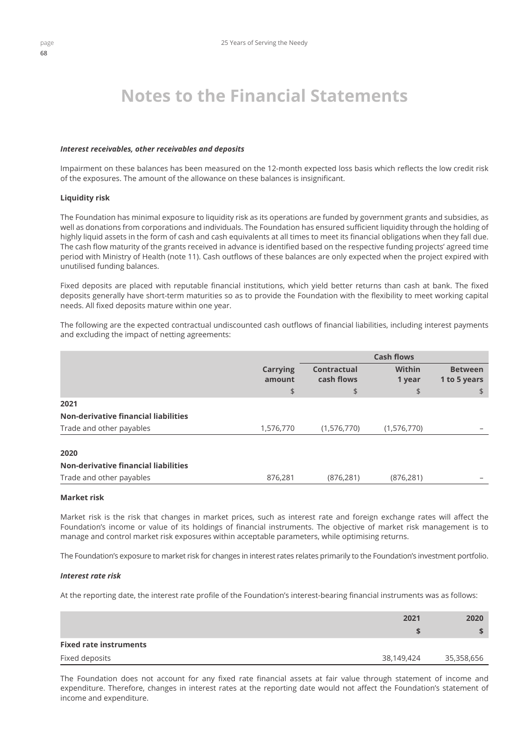#### *Interest receivables, other receivables and deposits*

Impairment on these balances has been measured on the 12-month expected loss basis which reflects the low credit risk of the exposures. The amount of the allowance on these balances is insignificant.

### **Liquidity risk**

The Foundation has minimal exposure to liquidity risk as its operations are funded by government grants and subsidies, as well as donations from corporations and individuals. The Foundation has ensured sufficient liquidity through the holding of highly liquid assets in the form of cash and cash equivalents at all times to meet its financial obligations when they fall due. The cash flow maturity of the grants received in advance is identified based on the respective funding projects' agreed time period with Ministry of Health (note 11). Cash outflows of these balances are only expected when the project expired with unutilised funding balances.

Fixed deposits are placed with reputable financial institutions, which yield better returns than cash at bank. The fixed deposits generally have short-term maturities so as to provide the Foundation with the flexibility to meet working capital needs. All fixed deposits mature within one year.

The following are the expected contractual undiscounted cash outflows of financial liabilities, including interest payments and excluding the impact of netting agreements:

|                                      |                           |                           | <b>Cash flows</b> |                                |  |
|--------------------------------------|---------------------------|---------------------------|-------------------|--------------------------------|--|
|                                      | <b>Carrying</b><br>amount | Contractual<br>cash flows | Within<br>1 year  | <b>Between</b><br>1 to 5 years |  |
|                                      | \$                        | \$                        | \$                | \$                             |  |
| 2021                                 |                           |                           |                   |                                |  |
| Non-derivative financial liabilities |                           |                           |                   |                                |  |
| Trade and other payables             | 1,576,770                 | (1,576,770)               | (1,576,770)       |                                |  |
| 2020                                 |                           |                           |                   |                                |  |
| Non-derivative financial liabilities |                           |                           |                   |                                |  |
| Trade and other payables             | 876,281                   | (876, 281)                | (876, 281)        |                                |  |

#### **Market risk**

Market risk is the risk that changes in market prices, such as interest rate and foreign exchange rates will affect the Foundation's income or value of its holdings of financial instruments. The objective of market risk management is to manage and control market risk exposures within acceptable parameters, while optimising returns.

The Foundation's exposure to market risk for changes in interest rates relates primarily to the Foundation's investment portfolio.

#### *Interest rate risk*

At the reporting date, the interest rate profile of the Foundation's interest-bearing financial instruments was as follows:

|                               | 2021       | 2020       |
|-------------------------------|------------|------------|
|                               |            |            |
| <b>Fixed rate instruments</b> |            |            |
| Fixed deposits                | 38,149,424 | 35,358,656 |

The Foundation does not account for any fixed rate financial assets at fair value through statement of income and expenditure. Therefore, changes in interest rates at the reporting date would not affect the Foundation's statement of income and expenditure.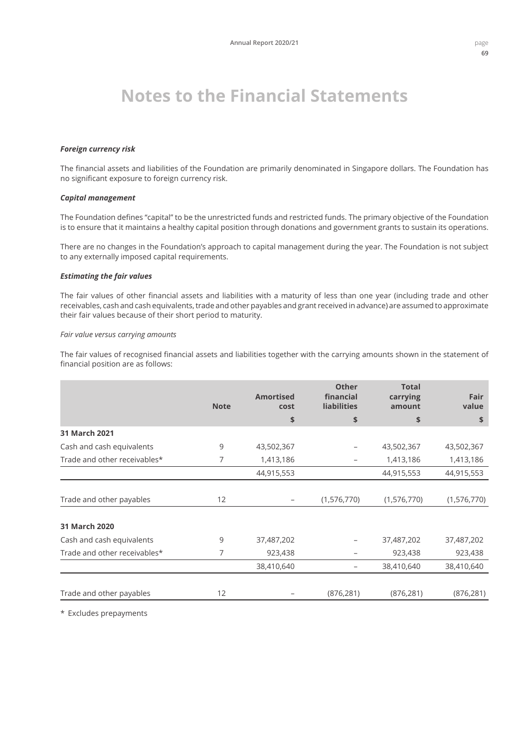#### *Foreign currency risk*

The financial assets and liabilities of the Foundation are primarily denominated in Singapore dollars. The Foundation has no significant exposure to foreign currency risk.

#### *Capital management*

The Foundation defines "capital" to be the unrestricted funds and restricted funds. The primary objective of the Foundation is to ensure that it maintains a healthy capital position through donations and government grants to sustain its operations.

There are no changes in the Foundation's approach to capital management during the year. The Foundation is not subject to any externally imposed capital requirements.

### *Estimating the fair values*

The fair values of other financial assets and liabilities with a maturity of less than one year (including trade and other receivables, cash and cash equivalents, trade and other payables and grant received in advance) are assumed to approximate their fair values because of their short period to maturity.

### *Fair value versus carrying amounts*

The fair values of recognised financial assets and liabilities together with the carrying amounts shown in the statement of financial position are as follows:

|                              | <b>Note</b> | <b>Amortised</b><br>cost | <b>Other</b><br>financial<br><b>liabilities</b> | <b>Total</b><br>carrying<br>amount | Fair<br>value |
|------------------------------|-------------|--------------------------|-------------------------------------------------|------------------------------------|---------------|
|                              |             | \$                       | \$                                              | \$                                 | \$            |
| 31 March 2021                |             |                          |                                                 |                                    |               |
| Cash and cash equivalents    | 9           | 43,502,367               |                                                 | 43,502,367                         | 43,502,367    |
| Trade and other receivables* | 7           | 1,413,186                |                                                 | 1,413,186                          | 1,413,186     |
|                              |             | 44,915,553               |                                                 | 44,915,553                         | 44,915,553    |
|                              |             |                          |                                                 |                                    |               |
| Trade and other payables     | 12          | -                        | (1,576,770)                                     | (1,576,770)                        | (1,576,770)   |
| 31 March 2020                |             |                          |                                                 |                                    |               |
| Cash and cash equivalents    | 9           | 37,487,202               |                                                 | 37,487,202                         | 37,487,202    |
| Trade and other receivables* | 7           | 923,438                  |                                                 | 923,438                            | 923,438       |
|                              |             | 38,410,640               |                                                 | 38,410,640                         | 38,410,640    |
|                              |             |                          |                                                 |                                    |               |
| Trade and other payables     | 12          |                          | (876, 281)                                      | (876, 281)                         | (876, 281)    |

\* Excludes prepayments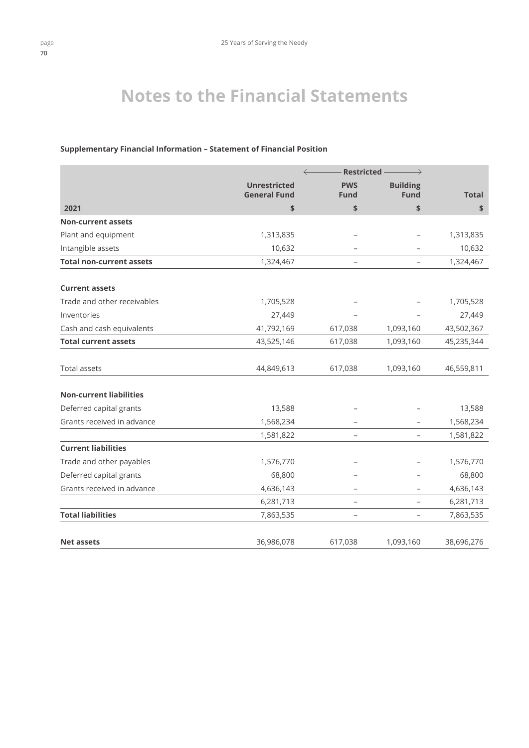## **Supplementary Financial Information – Statement of Financial Position**

|                                 | $\leftarrow$                               | <b>Restricted</b><br>$\rightarrow$ |                                |              |
|---------------------------------|--------------------------------------------|------------------------------------|--------------------------------|--------------|
|                                 | <b>Unrestricted</b><br><b>General Fund</b> | <b>PWS</b><br><b>Fund</b>          | <b>Building</b><br><b>Fund</b> | <b>Total</b> |
| 2021                            | \$                                         | \$                                 | \$                             | \$           |
| <b>Non-current assets</b>       |                                            |                                    |                                |              |
| Plant and equipment             | 1,313,835                                  |                                    |                                | 1,313,835    |
| Intangible assets               | 10,632                                     |                                    |                                | 10,632       |
| <b>Total non-current assets</b> | 1,324,467                                  | $\overline{\phantom{0}}$           |                                | 1,324,467    |
| <b>Current assets</b>           |                                            |                                    |                                |              |
| Trade and other receivables     | 1,705,528                                  |                                    |                                | 1,705,528    |
| Inventories                     | 27,449                                     |                                    |                                | 27,449       |
| Cash and cash equivalents       | 41,792,169                                 | 617,038                            | 1,093,160                      | 43,502,367   |
| <b>Total current assets</b>     | 43,525,146                                 | 617,038                            | 1,093,160                      | 45,235,344   |
| Total assets                    | 44,849,613                                 | 617,038                            | 1,093,160                      | 46,559,811   |
| <b>Non-current liabilities</b>  |                                            |                                    |                                |              |
| Deferred capital grants         | 13,588                                     |                                    |                                | 13,588       |
| Grants received in advance      | 1,568,234                                  |                                    |                                | 1,568,234    |
|                                 | 1,581,822                                  |                                    |                                | 1,581,822    |
| <b>Current liabilities</b>      |                                            |                                    |                                |              |
| Trade and other payables        | 1,576,770                                  |                                    |                                | 1,576,770    |
| Deferred capital grants         | 68,800                                     |                                    |                                | 68,800       |
| Grants received in advance      | 4,636,143                                  |                                    |                                | 4,636,143    |
|                                 | 6,281,713                                  |                                    |                                | 6,281,713    |
| <b>Total liabilities</b>        | 7,863,535                                  | $\qquad \qquad -$                  | $\qquad \qquad -$              | 7,863,535    |
| <b>Net assets</b>               | 36,986,078                                 | 617,038                            | 1,093,160                      | 38,696,276   |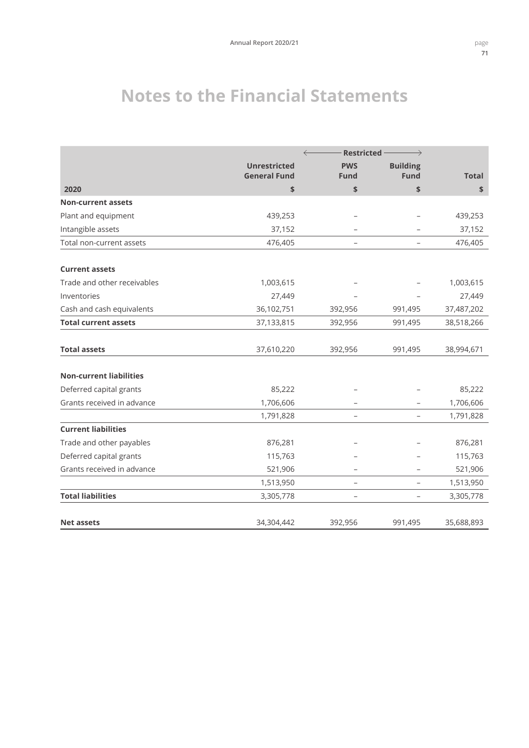|                                |                     | <b>Restricted</b><br>$\leftarrow$ | $\rightarrow$            |              |
|--------------------------------|---------------------|-----------------------------------|--------------------------|--------------|
|                                | <b>Unrestricted</b> | <b>PWS</b>                        | <b>Building</b>          |              |
|                                | <b>General Fund</b> | <b>Fund</b>                       | <b>Fund</b>              | <b>Total</b> |
| 2020                           | \$                  | \$                                | \$                       | \$           |
| <b>Non-current assets</b>      |                     |                                   |                          |              |
| Plant and equipment            | 439,253             |                                   |                          | 439,253      |
| Intangible assets              | 37,152              |                                   |                          | 37,152       |
| Total non-current assets       | 476,405             |                                   |                          | 476,405      |
| <b>Current assets</b>          |                     |                                   |                          |              |
| Trade and other receivables    | 1,003,615           |                                   |                          | 1,003,615    |
| Inventories                    | 27,449              |                                   |                          | 27,449       |
| Cash and cash equivalents      | 36,102,751          | 392,956                           | 991,495                  | 37,487,202   |
| <b>Total current assets</b>    | 37,133,815          | 392,956                           | 991,495                  | 38,518,266   |
| <b>Total assets</b>            | 37,610,220          | 392,956                           | 991,495                  | 38,994,671   |
| <b>Non-current liabilities</b> |                     |                                   |                          |              |
| Deferred capital grants        | 85,222              |                                   |                          | 85,222       |
| Grants received in advance     | 1,706,606           |                                   |                          | 1,706,606    |
|                                | 1,791,828           | $\qquad \qquad -$                 | $\overline{\phantom{0}}$ | 1,791,828    |
| <b>Current liabilities</b>     |                     |                                   |                          |              |
| Trade and other payables       | 876,281             |                                   |                          | 876,281      |
| Deferred capital grants        | 115,763             |                                   |                          | 115,763      |
| Grants received in advance     | 521,906             |                                   |                          | 521,906      |
|                                | 1,513,950           | $\overline{\phantom{0}}$          | $\overline{\phantom{0}}$ | 1,513,950    |
| <b>Total liabilities</b>       | 3,305,778           | $\overline{\phantom{0}}$          | $\overline{\phantom{0}}$ | 3,305,778    |
|                                |                     |                                   |                          |              |
| <b>Net assets</b>              | 34,304,442          | 392,956                           | 991,495                  | 35,688,893   |